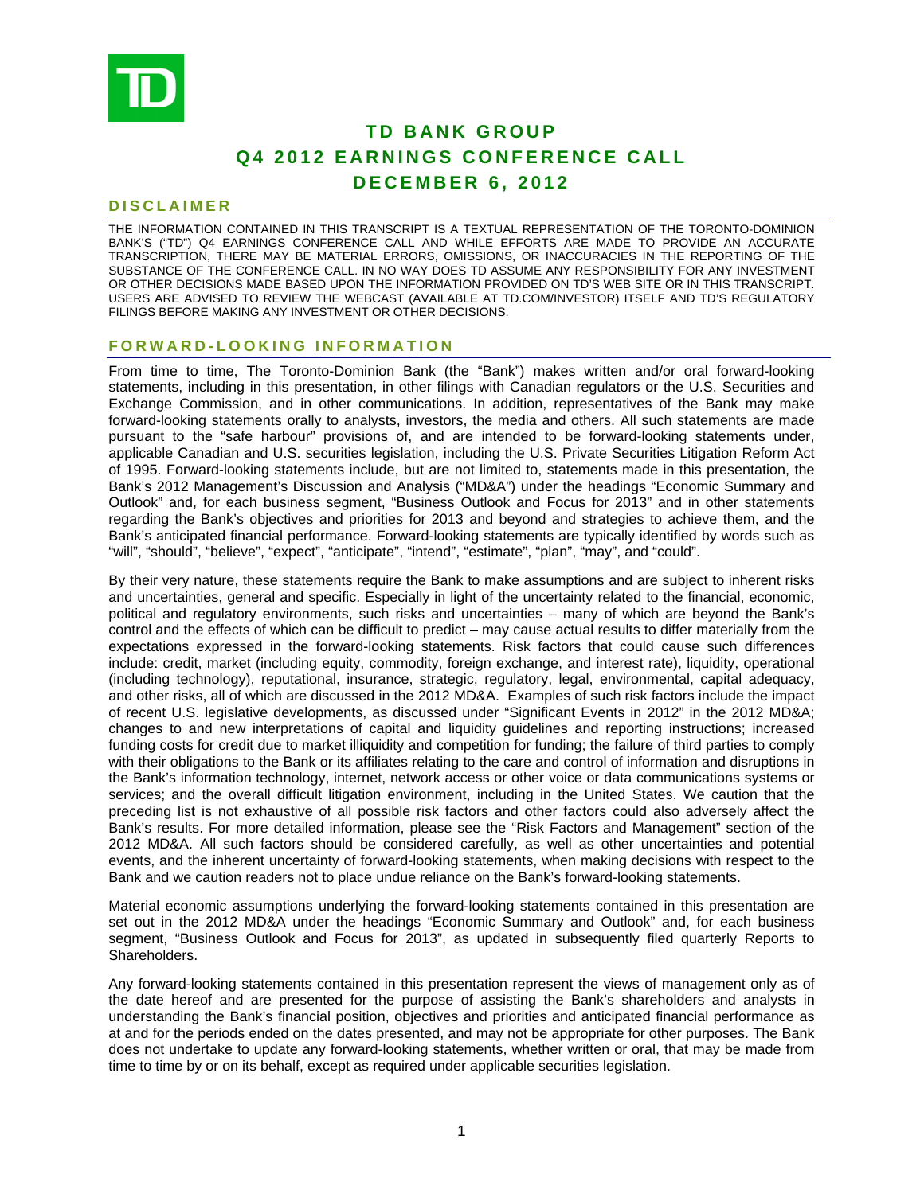

# **TD BANK GROUP Q4 2012 EARNINGS CONFERENCE CALL DECEMBER 6, 2012**

## **DISCLAIMER**

THE INFORMATION CONTAINED IN THIS TRANSCRIPT IS A TEXTUAL REPRESENTATION OF THE TORONTO-DOMINION BANK'S ("TD") Q4 EARNINGS CONFERENCE CALL AND WHILE EFFORTS ARE MADE TO PROVIDE AN ACCURATE TRANSCRIPTION, THERE MAY BE MATERIAL ERRORS, OMISSIONS, OR INACCURACIES IN THE REPORTING OF THE SUBSTANCE OF THE CONFERENCE CALL. IN NO WAY DOES TD ASSUME ANY RESPONSIBILITY FOR ANY INVESTMENT OR OTHER DECISIONS MADE BASED UPON THE INFORMATION PROVIDED ON TD'S WEB SITE OR IN THIS TRANSCRIPT. USERS ARE ADVISED TO REVIEW THE WEBCAST (AVAILABLE AT TD.COM/INVESTOR) ITSELF AND TD'S REGULATORY FILINGS BEFORE MAKING ANY INVESTMENT OR OTHER DECISIONS.

### **FORWARD-LOOKING INFORMATION**

From time to time, The Toronto-Dominion Bank (the "Bank") makes written and/or oral forward-looking statements, including in this presentation, in other filings with Canadian regulators or the U.S. Securities and Exchange Commission, and in other communications. In addition, representatives of the Bank may make forward-looking statements orally to analysts, investors, the media and others. All such statements are made pursuant to the "safe harbour" provisions of, and are intended to be forward-looking statements under, applicable Canadian and U.S. securities legislation, including the U.S. Private Securities Litigation Reform Act of 1995. Forward-looking statements include, but are not limited to, statements made in this presentation, the Bank's 2012 Management's Discussion and Analysis ("MD&A") under the headings "Economic Summary and Outlook" and, for each business segment, "Business Outlook and Focus for 2013" and in other statements regarding the Bank's objectives and priorities for 2013 and beyond and strategies to achieve them, and the Bank's anticipated financial performance. Forward-looking statements are typically identified by words such as "will", "should", "believe", "expect", "anticipate", "intend", "estimate", "plan", "may", and "could".

By their very nature, these statements require the Bank to make assumptions and are subject to inherent risks and uncertainties, general and specific. Especially in light of the uncertainty related to the financial, economic, political and regulatory environments, such risks and uncertainties – many of which are beyond the Bank's control and the effects of which can be difficult to predict – may cause actual results to differ materially from the expectations expressed in the forward-looking statements. Risk factors that could cause such differences include: credit, market (including equity, commodity, foreign exchange, and interest rate), liquidity, operational (including technology), reputational, insurance, strategic, regulatory, legal, environmental, capital adequacy, and other risks, all of which are discussed in the 2012 MD&A. Examples of such risk factors include the impact of recent U.S. legislative developments, as discussed under "Significant Events in 2012" in the 2012 MD&A; changes to and new interpretations of capital and liquidity guidelines and reporting instructions; increased funding costs for credit due to market illiquidity and competition for funding; the failure of third parties to comply with their obligations to the Bank or its affiliates relating to the care and control of information and disruptions in the Bank's information technology, internet, network access or other voice or data communications systems or services; and the overall difficult litigation environment, including in the United States. We caution that the preceding list is not exhaustive of all possible risk factors and other factors could also adversely affect the Bank's results. For more detailed information, please see the "Risk Factors and Management" section of the 2012 MD&A. All such factors should be considered carefully, as well as other uncertainties and potential events, and the inherent uncertainty of forward-looking statements, when making decisions with respect to the Bank and we caution readers not to place undue reliance on the Bank's forward-looking statements.

Material economic assumptions underlying the forward-looking statements contained in this presentation are set out in the 2012 MD&A under the headings "Economic Summary and Outlook" and, for each business segment, "Business Outlook and Focus for 2013", as updated in subsequently filed quarterly Reports to Shareholders.

Any forward-looking statements contained in this presentation represent the views of management only as of the date hereof and are presented for the purpose of assisting the Bank's shareholders and analysts in understanding the Bank's financial position, objectives and priorities and anticipated financial performance as at and for the periods ended on the dates presented, and may not be appropriate for other purposes. The Bank does not undertake to update any forward-looking statements, whether written or oral, that may be made from time to time by or on its behalf, except as required under applicable securities legislation.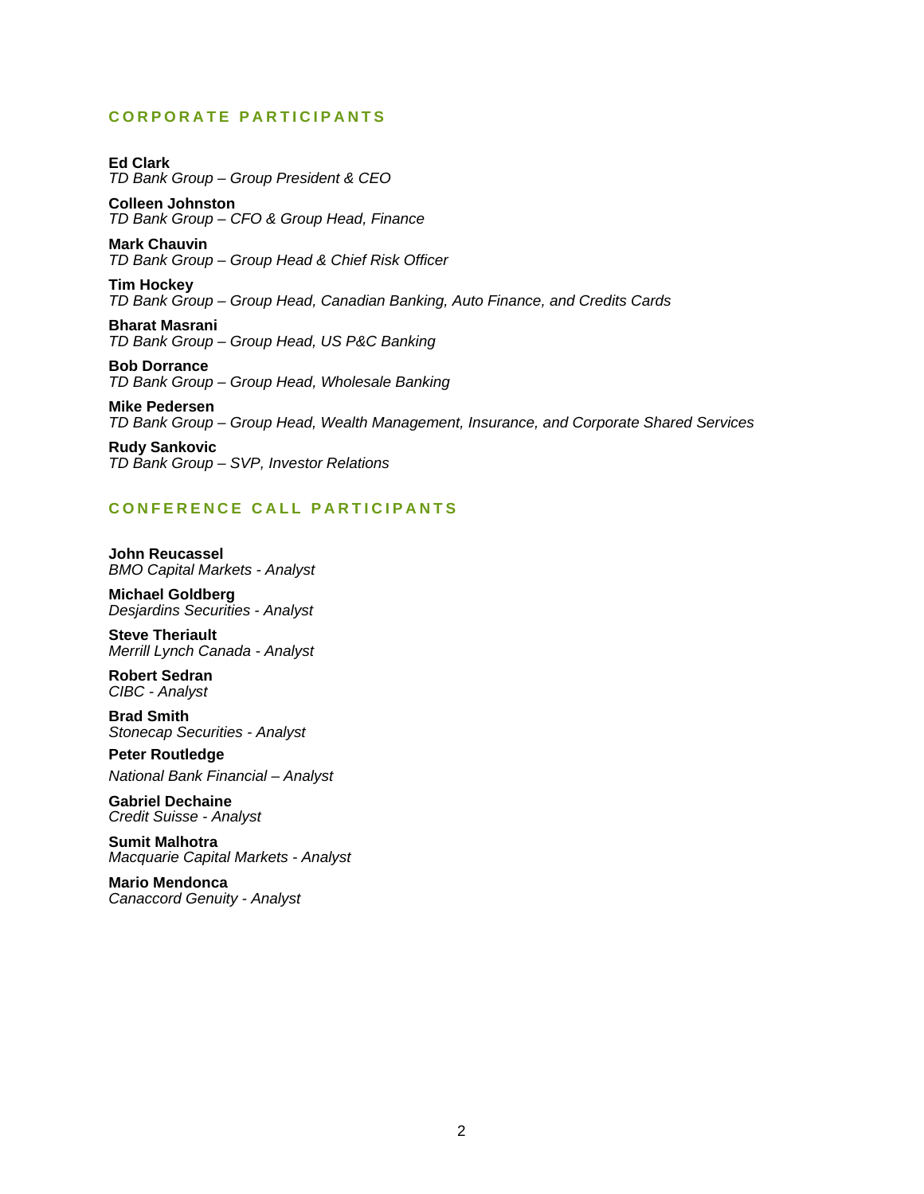## **CORPORATE PARTICIPANTS**

**Ed Clark**  *TD Bank Group – Group President & CEO* 

**Colleen Johnston**  *TD Bank Group – CFO & Group Head, Finance* 

**Mark Chauvin**  *TD Bank Group – Group Head & Chief Risk Officer* 

**Tim Hockey**  *TD Bank Group – Group Head, Canadian Banking, Auto Finance, and Credits Cards* 

**Bharat Masrani**  *TD Bank Group – Group Head, US P&C Banking* 

**Bob Dorrance**  *TD Bank Group – Group Head, Wholesale Banking* 

**Mike Pedersen**  *TD Bank Group – Group Head, Wealth Management, Insurance, and Corporate Shared Services* 

**Rudy Sankovic**  *TD Bank Group – SVP, Investor Relations* 

## **CONFERENCE CALL PARTICIPANTS**

**John Reucassel**  *BMO Capital Markets - Analyst* 

**Michael Goldberg**  *Desjardins Securities - Analyst* 

**Steve Theriault**  *Merrill Lynch Canada - Analyst* 

**Robert Sedran**  *CIBC - Analyst* 

**Brad Smith**  *Stonecap Securities - Analyst* 

**Peter Routledge**  *National Bank Financial – Analyst* 

**Gabriel Dechaine**  *Credit Suisse - Analyst* 

**Sumit Malhotra**  *Macquarie Capital Markets - Analyst* 

**Mario Mendonca**  *Canaccord Genuity - Analyst*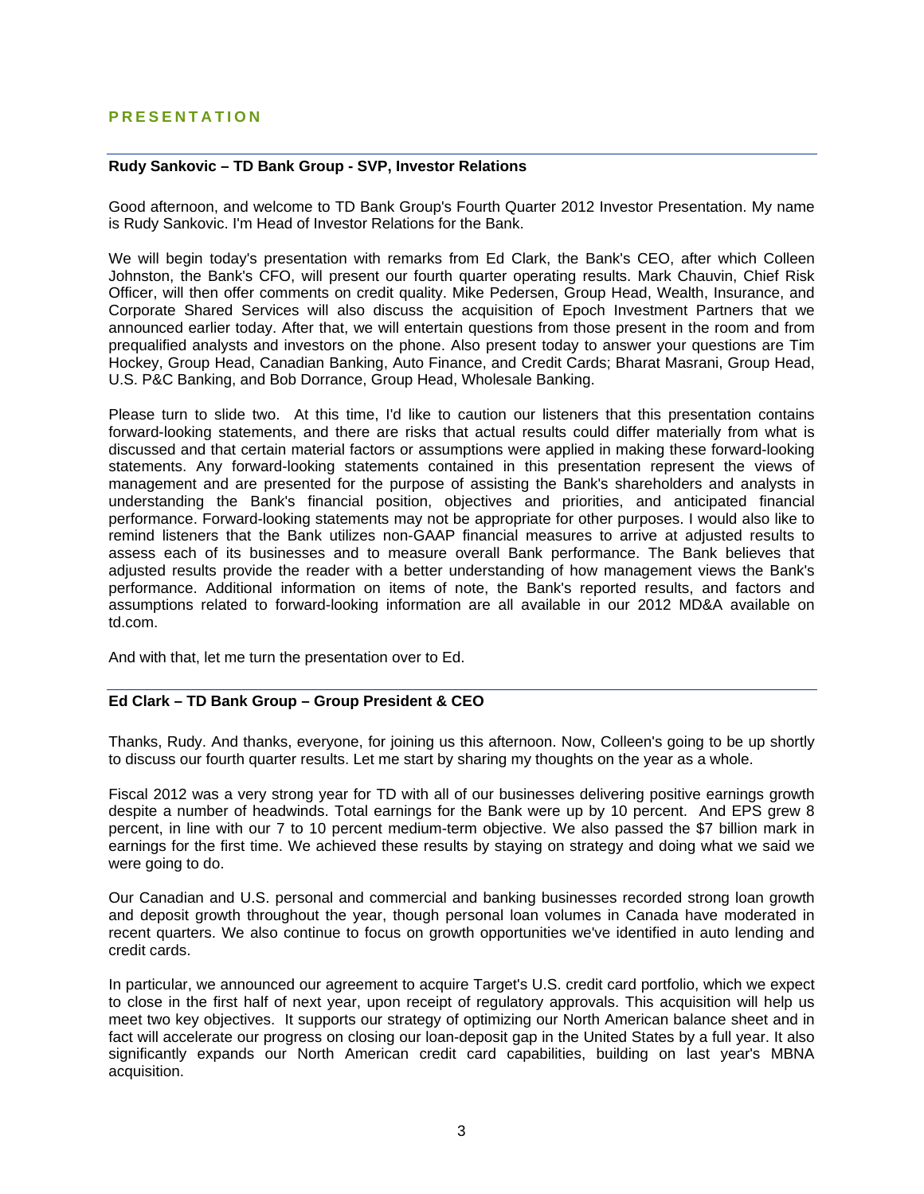## **PRESENTATION**

## **Rudy Sankovic – TD Bank Group - SVP, Investor Relations**

Good afternoon, and welcome to TD Bank Group's Fourth Quarter 2012 Investor Presentation. My name is Rudy Sankovic. I'm Head of Investor Relations for the Bank.

We will begin today's presentation with remarks from Ed Clark, the Bank's CEO, after which Colleen Johnston, the Bank's CFO, will present our fourth quarter operating results. Mark Chauvin, Chief Risk Officer, will then offer comments on credit quality. Mike Pedersen, Group Head, Wealth, Insurance, and Corporate Shared Services will also discuss the acquisition of Epoch Investment Partners that we announced earlier today. After that, we will entertain questions from those present in the room and from prequalified analysts and investors on the phone. Also present today to answer your questions are Tim Hockey, Group Head, Canadian Banking, Auto Finance, and Credit Cards; Bharat Masrani, Group Head, U.S. P&C Banking, and Bob Dorrance, Group Head, Wholesale Banking.

Please turn to slide two. At this time, I'd like to caution our listeners that this presentation contains forward-looking statements, and there are risks that actual results could differ materially from what is discussed and that certain material factors or assumptions were applied in making these forward-looking statements. Any forward-looking statements contained in this presentation represent the views of management and are presented for the purpose of assisting the Bank's shareholders and analysts in understanding the Bank's financial position, objectives and priorities, and anticipated financial performance. Forward-looking statements may not be appropriate for other purposes. I would also like to remind listeners that the Bank utilizes non-GAAP financial measures to arrive at adjusted results to assess each of its businesses and to measure overall Bank performance. The Bank believes that adjusted results provide the reader with a better understanding of how management views the Bank's performance. Additional information on items of note, the Bank's reported results, and factors and assumptions related to forward-looking information are all available in our 2012 MD&A available on td.com.

And with that, let me turn the presentation over to Ed.

### **Ed Clark – TD Bank Group – Group President & CEO**

Thanks, Rudy. And thanks, everyone, for joining us this afternoon. Now, Colleen's going to be up shortly to discuss our fourth quarter results. Let me start by sharing my thoughts on the year as a whole.

Fiscal 2012 was a very strong year for TD with all of our businesses delivering positive earnings growth despite a number of headwinds. Total earnings for the Bank were up by 10 percent. And EPS grew 8 percent, in line with our 7 to 10 percent medium-term objective. We also passed the \$7 billion mark in earnings for the first time. We achieved these results by staying on strategy and doing what we said we were going to do.

Our Canadian and U.S. personal and commercial and banking businesses recorded strong loan growth and deposit growth throughout the year, though personal loan volumes in Canada have moderated in recent quarters. We also continue to focus on growth opportunities we've identified in auto lending and credit cards.

In particular, we announced our agreement to acquire Target's U.S. credit card portfolio, which we expect to close in the first half of next year, upon receipt of regulatory approvals. This acquisition will help us meet two key objectives. It supports our strategy of optimizing our North American balance sheet and in fact will accelerate our progress on closing our loan-deposit gap in the United States by a full year. It also significantly expands our North American credit card capabilities, building on last year's MBNA acquisition.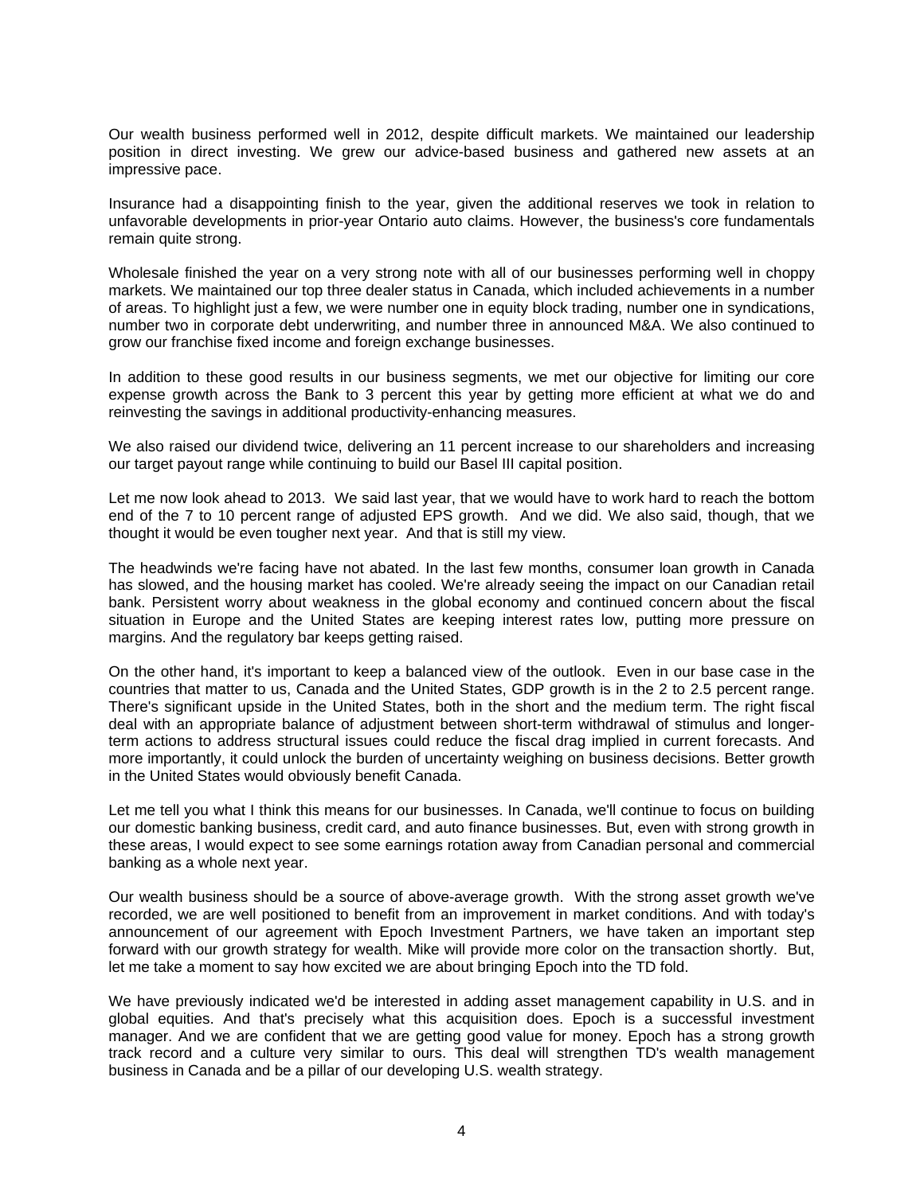Our wealth business performed well in 2012, despite difficult markets. We maintained our leadership position in direct investing. We grew our advice-based business and gathered new assets at an impressive pace.

Insurance had a disappointing finish to the year, given the additional reserves we took in relation to unfavorable developments in prior-year Ontario auto claims. However, the business's core fundamentals remain quite strong.

Wholesale finished the year on a very strong note with all of our businesses performing well in choppy markets. We maintained our top three dealer status in Canada, which included achievements in a number of areas. To highlight just a few, we were number one in equity block trading, number one in syndications, number two in corporate debt underwriting, and number three in announced M&A. We also continued to grow our franchise fixed income and foreign exchange businesses.

In addition to these good results in our business segments, we met our objective for limiting our core expense growth across the Bank to 3 percent this year by getting more efficient at what we do and reinvesting the savings in additional productivity-enhancing measures.

We also raised our dividend twice, delivering an 11 percent increase to our shareholders and increasing our target payout range while continuing to build our Basel III capital position.

Let me now look ahead to 2013. We said last year, that we would have to work hard to reach the bottom end of the 7 to 10 percent range of adjusted EPS growth. And we did. We also said, though, that we thought it would be even tougher next year. And that is still my view.

The headwinds we're facing have not abated. In the last few months, consumer loan growth in Canada has slowed, and the housing market has cooled. We're already seeing the impact on our Canadian retail bank. Persistent worry about weakness in the global economy and continued concern about the fiscal situation in Europe and the United States are keeping interest rates low, putting more pressure on margins. And the regulatory bar keeps getting raised.

On the other hand, it's important to keep a balanced view of the outlook. Even in our base case in the countries that matter to us, Canada and the United States, GDP growth is in the 2 to 2.5 percent range. There's significant upside in the United States, both in the short and the medium term. The right fiscal deal with an appropriate balance of adjustment between short-term withdrawal of stimulus and longerterm actions to address structural issues could reduce the fiscal drag implied in current forecasts. And more importantly, it could unlock the burden of uncertainty weighing on business decisions. Better growth in the United States would obviously benefit Canada.

Let me tell you what I think this means for our businesses. In Canada, we'll continue to focus on building our domestic banking business, credit card, and auto finance businesses. But, even with strong growth in these areas, I would expect to see some earnings rotation away from Canadian personal and commercial banking as a whole next year.

Our wealth business should be a source of above-average growth. With the strong asset growth we've recorded, we are well positioned to benefit from an improvement in market conditions. And with today's announcement of our agreement with Epoch Investment Partners, we have taken an important step forward with our growth strategy for wealth. Mike will provide more color on the transaction shortly. But, let me take a moment to say how excited we are about bringing Epoch into the TD fold.

We have previously indicated we'd be interested in adding asset management capability in U.S. and in global equities. And that's precisely what this acquisition does. Epoch is a successful investment manager. And we are confident that we are getting good value for money. Epoch has a strong growth track record and a culture very similar to ours. This deal will strengthen TD's wealth management business in Canada and be a pillar of our developing U.S. wealth strategy.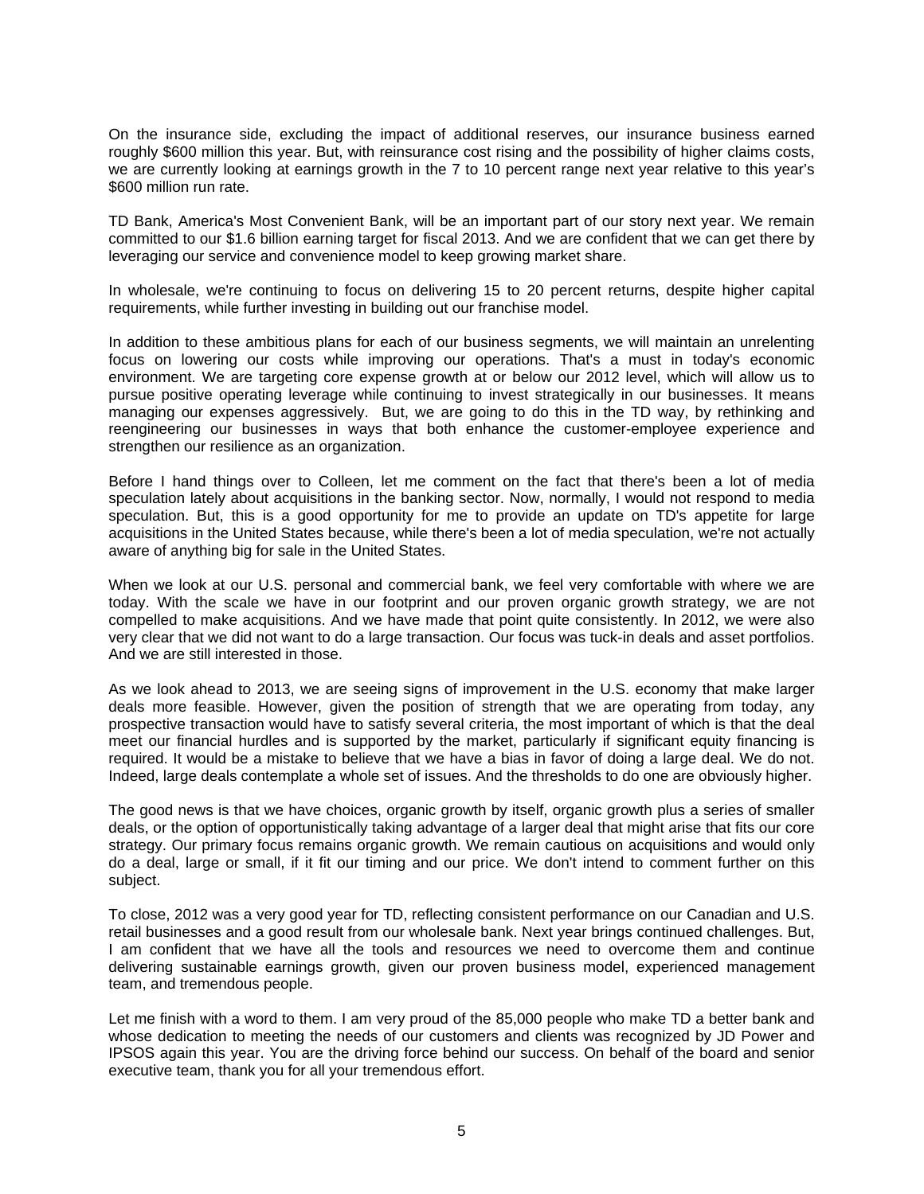On the insurance side, excluding the impact of additional reserves, our insurance business earned roughly \$600 million this year. But, with reinsurance cost rising and the possibility of higher claims costs, we are currently looking at earnings growth in the 7 to 10 percent range next year relative to this year's \$600 million run rate.

TD Bank, America's Most Convenient Bank, will be an important part of our story next year. We remain committed to our \$1.6 billion earning target for fiscal 2013. And we are confident that we can get there by leveraging our service and convenience model to keep growing market share.

In wholesale, we're continuing to focus on delivering 15 to 20 percent returns, despite higher capital requirements, while further investing in building out our franchise model.

In addition to these ambitious plans for each of our business segments, we will maintain an unrelenting focus on lowering our costs while improving our operations. That's a must in today's economic environment. We are targeting core expense growth at or below our 2012 level, which will allow us to pursue positive operating leverage while continuing to invest strategically in our businesses. It means managing our expenses aggressively. But, we are going to do this in the TD way, by rethinking and reengineering our businesses in ways that both enhance the customer-employee experience and strengthen our resilience as an organization.

Before I hand things over to Colleen, let me comment on the fact that there's been a lot of media speculation lately about acquisitions in the banking sector. Now, normally, I would not respond to media speculation. But, this is a good opportunity for me to provide an update on TD's appetite for large acquisitions in the United States because, while there's been a lot of media speculation, we're not actually aware of anything big for sale in the United States.

When we look at our U.S. personal and commercial bank, we feel very comfortable with where we are today. With the scale we have in our footprint and our proven organic growth strategy, we are not compelled to make acquisitions. And we have made that point quite consistently. In 2012, we were also very clear that we did not want to do a large transaction. Our focus was tuck-in deals and asset portfolios. And we are still interested in those.

As we look ahead to 2013, we are seeing signs of improvement in the U.S. economy that make larger deals more feasible. However, given the position of strength that we are operating from today, any prospective transaction would have to satisfy several criteria, the most important of which is that the deal meet our financial hurdles and is supported by the market, particularly if significant equity financing is required. It would be a mistake to believe that we have a bias in favor of doing a large deal. We do not. Indeed, large deals contemplate a whole set of issues. And the thresholds to do one are obviously higher.

The good news is that we have choices, organic growth by itself, organic growth plus a series of smaller deals, or the option of opportunistically taking advantage of a larger deal that might arise that fits our core strategy. Our primary focus remains organic growth. We remain cautious on acquisitions and would only do a deal, large or small, if it fit our timing and our price. We don't intend to comment further on this subject.

To close, 2012 was a very good year for TD, reflecting consistent performance on our Canadian and U.S. retail businesses and a good result from our wholesale bank. Next year brings continued challenges. But, I am confident that we have all the tools and resources we need to overcome them and continue delivering sustainable earnings growth, given our proven business model, experienced management team, and tremendous people.

Let me finish with a word to them. I am very proud of the 85,000 people who make TD a better bank and whose dedication to meeting the needs of our customers and clients was recognized by JD Power and IPSOS again this year. You are the driving force behind our success. On behalf of the board and senior executive team, thank you for all your tremendous effort.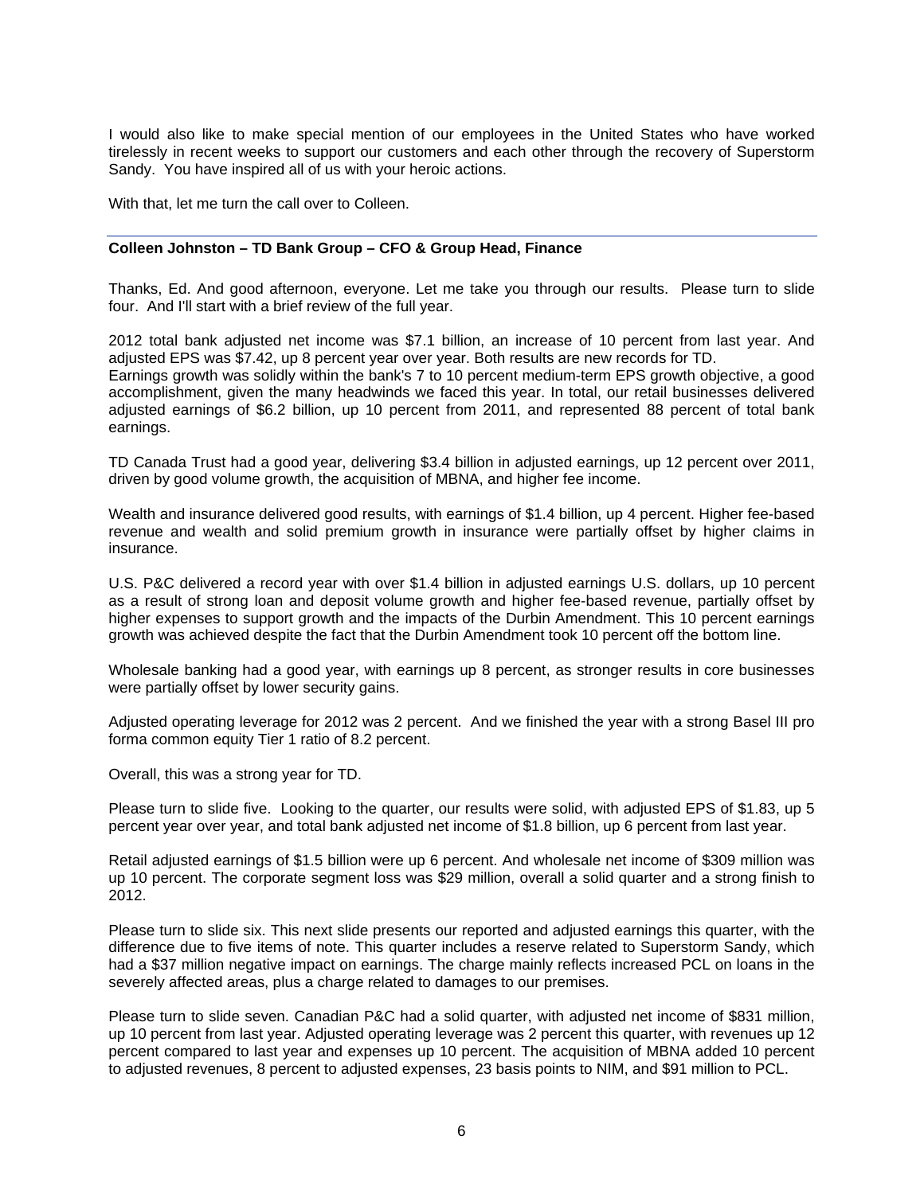I would also like to make special mention of our employees in the United States who have worked tirelessly in recent weeks to support our customers and each other through the recovery of Superstorm Sandy. You have inspired all of us with your heroic actions.

With that, let me turn the call over to Colleen.

## **Colleen Johnston – TD Bank Group – CFO & Group Head, Finance**

Thanks, Ed. And good afternoon, everyone. Let me take you through our results. Please turn to slide four. And I'll start with a brief review of the full year.

2012 total bank adjusted net income was \$7.1 billion, an increase of 10 percent from last year. And adjusted EPS was \$7.42, up 8 percent year over year. Both results are new records for TD. Earnings growth was solidly within the bank's 7 to 10 percent medium-term EPS growth objective, a good accomplishment, given the many headwinds we faced this year. In total, our retail businesses delivered adjusted earnings of \$6.2 billion, up 10 percent from 2011, and represented 88 percent of total bank earnings.

TD Canada Trust had a good year, delivering \$3.4 billion in adjusted earnings, up 12 percent over 2011, driven by good volume growth, the acquisition of MBNA, and higher fee income.

Wealth and insurance delivered good results, with earnings of \$1.4 billion, up 4 percent. Higher fee-based revenue and wealth and solid premium growth in insurance were partially offset by higher claims in insurance.

U.S. P&C delivered a record year with over \$1.4 billion in adjusted earnings U.S. dollars, up 10 percent as a result of strong loan and deposit volume growth and higher fee-based revenue, partially offset by higher expenses to support growth and the impacts of the Durbin Amendment. This 10 percent earnings growth was achieved despite the fact that the Durbin Amendment took 10 percent off the bottom line.

Wholesale banking had a good year, with earnings up 8 percent, as stronger results in core businesses were partially offset by lower security gains.

Adjusted operating leverage for 2012 was 2 percent. And we finished the year with a strong Basel III pro forma common equity Tier 1 ratio of 8.2 percent.

Overall, this was a strong year for TD.

Please turn to slide five. Looking to the quarter, our results were solid, with adjusted EPS of \$1.83, up 5 percent year over year, and total bank adjusted net income of \$1.8 billion, up 6 percent from last year.

Retail adjusted earnings of \$1.5 billion were up 6 percent. And wholesale net income of \$309 million was up 10 percent. The corporate segment loss was \$29 million, overall a solid quarter and a strong finish to 2012.

Please turn to slide six. This next slide presents our reported and adjusted earnings this quarter, with the difference due to five items of note. This quarter includes a reserve related to Superstorm Sandy, which had a \$37 million negative impact on earnings. The charge mainly reflects increased PCL on loans in the severely affected areas, plus a charge related to damages to our premises.

Please turn to slide seven. Canadian P&C had a solid quarter, with adjusted net income of \$831 million, up 10 percent from last year. Adjusted operating leverage was 2 percent this quarter, with revenues up 12 percent compared to last year and expenses up 10 percent. The acquisition of MBNA added 10 percent to adjusted revenues, 8 percent to adjusted expenses, 23 basis points to NIM, and \$91 million to PCL.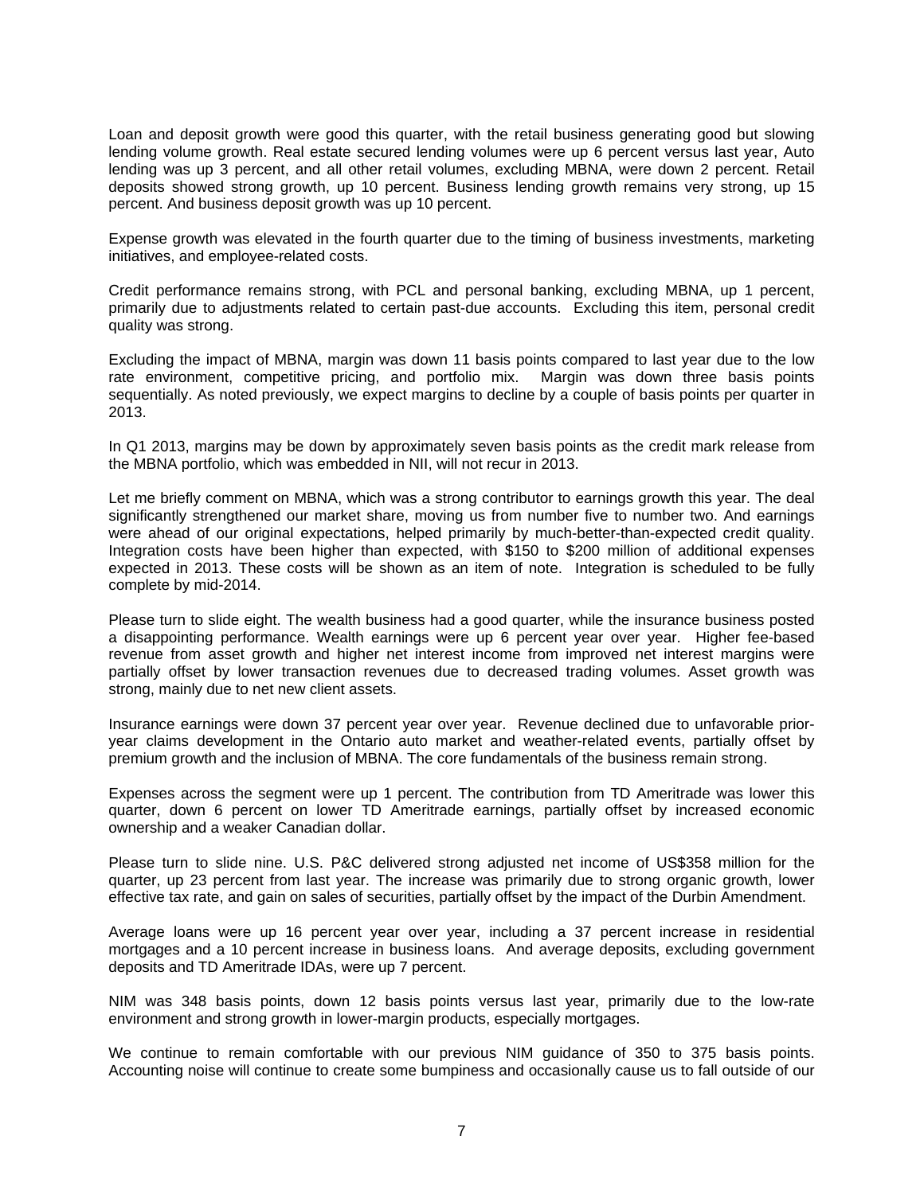Loan and deposit growth were good this quarter, with the retail business generating good but slowing lending volume growth. Real estate secured lending volumes were up 6 percent versus last year, Auto lending was up 3 percent, and all other retail volumes, excluding MBNA, were down 2 percent. Retail deposits showed strong growth, up 10 percent. Business lending growth remains very strong, up 15 percent. And business deposit growth was up 10 percent.

Expense growth was elevated in the fourth quarter due to the timing of business investments, marketing initiatives, and employee-related costs.

Credit performance remains strong, with PCL and personal banking, excluding MBNA, up 1 percent, primarily due to adjustments related to certain past-due accounts. Excluding this item, personal credit quality was strong.

Excluding the impact of MBNA, margin was down 11 basis points compared to last year due to the low rate environment, competitive pricing, and portfolio mix. Margin was down three basis points sequentially. As noted previously, we expect margins to decline by a couple of basis points per quarter in 2013.

In Q1 2013, margins may be down by approximately seven basis points as the credit mark release from the MBNA portfolio, which was embedded in NII, will not recur in 2013.

Let me briefly comment on MBNA, which was a strong contributor to earnings growth this year. The deal significantly strengthened our market share, moving us from number five to number two. And earnings were ahead of our original expectations, helped primarily by much-better-than-expected credit quality. Integration costs have been higher than expected, with \$150 to \$200 million of additional expenses expected in 2013. These costs will be shown as an item of note. Integration is scheduled to be fully complete by mid-2014.

Please turn to slide eight. The wealth business had a good quarter, while the insurance business posted a disappointing performance. Wealth earnings were up 6 percent year over year. Higher fee-based revenue from asset growth and higher net interest income from improved net interest margins were partially offset by lower transaction revenues due to decreased trading volumes. Asset growth was strong, mainly due to net new client assets.

Insurance earnings were down 37 percent year over year. Revenue declined due to unfavorable prioryear claims development in the Ontario auto market and weather-related events, partially offset by premium growth and the inclusion of MBNA. The core fundamentals of the business remain strong.

Expenses across the segment were up 1 percent. The contribution from TD Ameritrade was lower this quarter, down 6 percent on lower TD Ameritrade earnings, partially offset by increased economic ownership and a weaker Canadian dollar.

Please turn to slide nine. U.S. P&C delivered strong adjusted net income of US\$358 million for the quarter, up 23 percent from last year. The increase was primarily due to strong organic growth, lower effective tax rate, and gain on sales of securities, partially offset by the impact of the Durbin Amendment.

Average loans were up 16 percent year over year, including a 37 percent increase in residential mortgages and a 10 percent increase in business loans. And average deposits, excluding government deposits and TD Ameritrade IDAs, were up 7 percent.

NIM was 348 basis points, down 12 basis points versus last year, primarily due to the low-rate environment and strong growth in lower-margin products, especially mortgages.

We continue to remain comfortable with our previous NIM guidance of 350 to 375 basis points. Accounting noise will continue to create some bumpiness and occasionally cause us to fall outside of our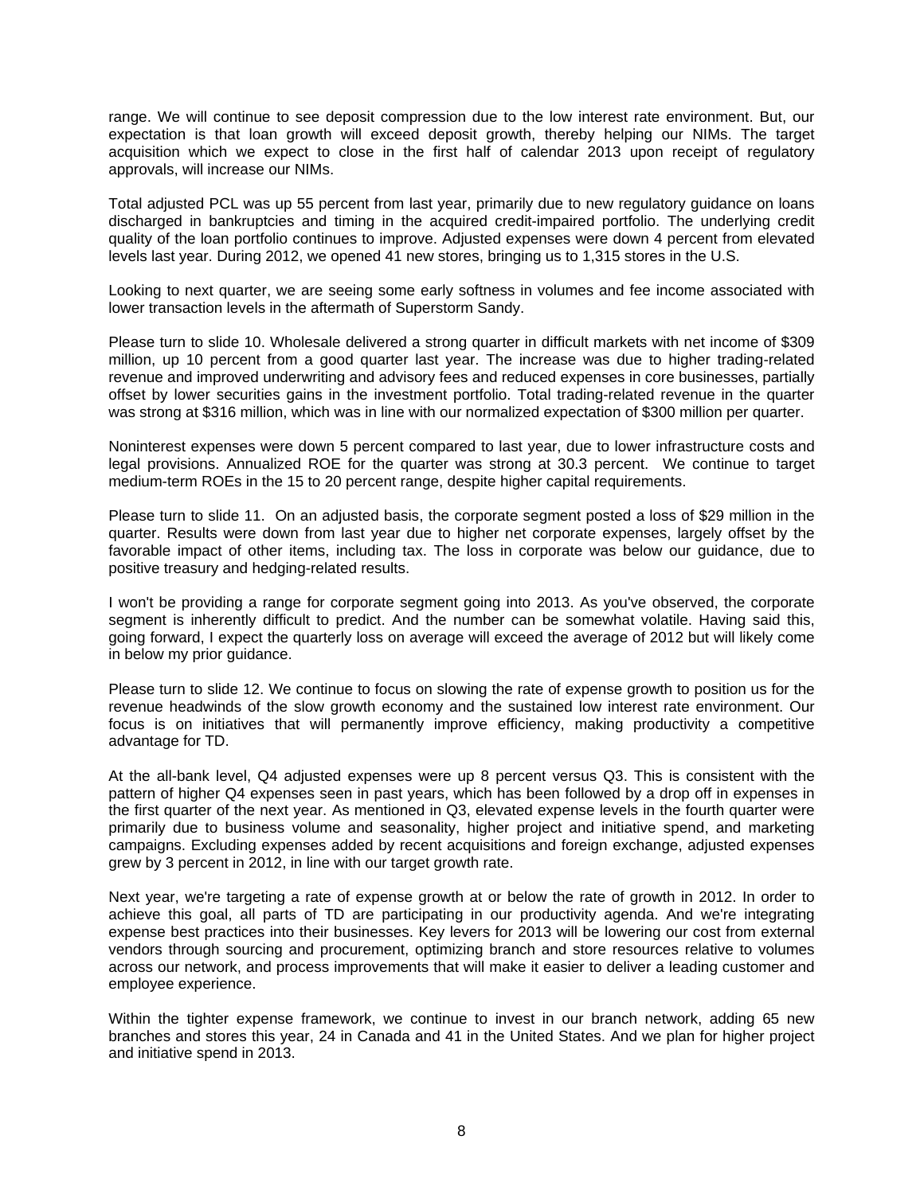range. We will continue to see deposit compression due to the low interest rate environment. But, our expectation is that loan growth will exceed deposit growth, thereby helping our NIMs. The target acquisition which we expect to close in the first half of calendar 2013 upon receipt of regulatory approvals, will increase our NIMs.

Total adjusted PCL was up 55 percent from last year, primarily due to new regulatory guidance on loans discharged in bankruptcies and timing in the acquired credit-impaired portfolio. The underlying credit quality of the loan portfolio continues to improve. Adjusted expenses were down 4 percent from elevated levels last year. During 2012, we opened 41 new stores, bringing us to 1,315 stores in the U.S.

Looking to next quarter, we are seeing some early softness in volumes and fee income associated with lower transaction levels in the aftermath of Superstorm Sandy.

Please turn to slide 10. Wholesale delivered a strong quarter in difficult markets with net income of \$309 million, up 10 percent from a good quarter last year. The increase was due to higher trading-related revenue and improved underwriting and advisory fees and reduced expenses in core businesses, partially offset by lower securities gains in the investment portfolio. Total trading-related revenue in the quarter was strong at \$316 million, which was in line with our normalized expectation of \$300 million per quarter.

Noninterest expenses were down 5 percent compared to last year, due to lower infrastructure costs and legal provisions. Annualized ROE for the quarter was strong at 30.3 percent. We continue to target medium-term ROEs in the 15 to 20 percent range, despite higher capital requirements.

Please turn to slide 11. On an adjusted basis, the corporate segment posted a loss of \$29 million in the quarter. Results were down from last year due to higher net corporate expenses, largely offset by the favorable impact of other items, including tax. The loss in corporate was below our guidance, due to positive treasury and hedging-related results.

I won't be providing a range for corporate segment going into 2013. As you've observed, the corporate segment is inherently difficult to predict. And the number can be somewhat volatile. Having said this, going forward, I expect the quarterly loss on average will exceed the average of 2012 but will likely come in below my prior guidance.

Please turn to slide 12. We continue to focus on slowing the rate of expense growth to position us for the revenue headwinds of the slow growth economy and the sustained low interest rate environment. Our focus is on initiatives that will permanently improve efficiency, making productivity a competitive advantage for TD.

At the all-bank level, Q4 adjusted expenses were up 8 percent versus Q3. This is consistent with the pattern of higher Q4 expenses seen in past years, which has been followed by a drop off in expenses in the first quarter of the next year. As mentioned in Q3, elevated expense levels in the fourth quarter were primarily due to business volume and seasonality, higher project and initiative spend, and marketing campaigns. Excluding expenses added by recent acquisitions and foreign exchange, adjusted expenses grew by 3 percent in 2012, in line with our target growth rate.

Next year, we're targeting a rate of expense growth at or below the rate of growth in 2012. In order to achieve this goal, all parts of TD are participating in our productivity agenda. And we're integrating expense best practices into their businesses. Key levers for 2013 will be lowering our cost from external vendors through sourcing and procurement, optimizing branch and store resources relative to volumes across our network, and process improvements that will make it easier to deliver a leading customer and employee experience.

Within the tighter expense framework, we continue to invest in our branch network, adding 65 new branches and stores this year, 24 in Canada and 41 in the United States. And we plan for higher project and initiative spend in 2013.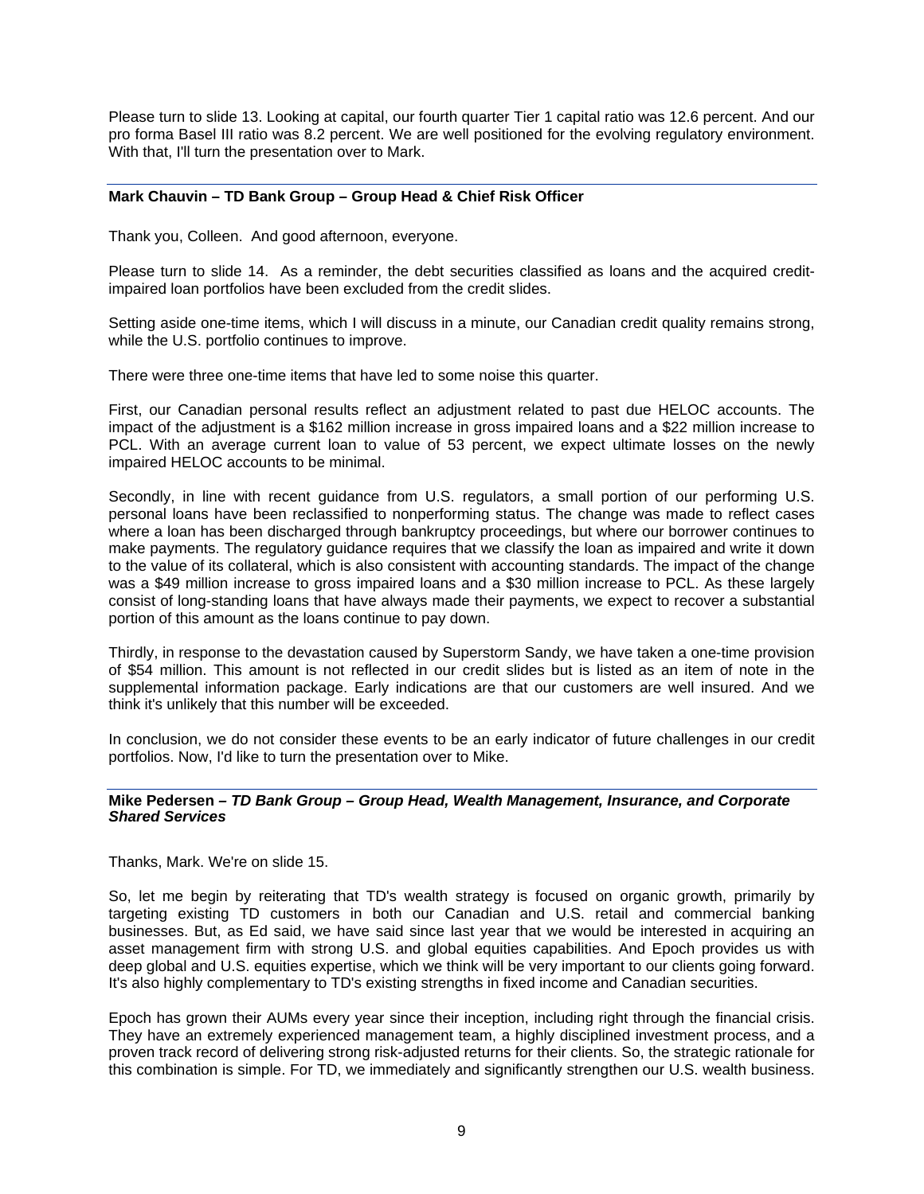Please turn to slide 13. Looking at capital, our fourth quarter Tier 1 capital ratio was 12.6 percent. And our pro forma Basel III ratio was 8.2 percent. We are well positioned for the evolving regulatory environment. With that, I'll turn the presentation over to Mark.

## **Mark Chauvin – TD Bank Group – Group Head & Chief Risk Officer**

Thank you, Colleen. And good afternoon, everyone.

Please turn to slide 14. As a reminder, the debt securities classified as loans and the acquired creditimpaired loan portfolios have been excluded from the credit slides.

Setting aside one-time items, which I will discuss in a minute, our Canadian credit quality remains strong, while the U.S. portfolio continues to improve.

There were three one-time items that have led to some noise this quarter.

First, our Canadian personal results reflect an adjustment related to past due HELOC accounts. The impact of the adjustment is a \$162 million increase in gross impaired loans and a \$22 million increase to PCL. With an average current loan to value of 53 percent, we expect ultimate losses on the newly impaired HELOC accounts to be minimal.

Secondly, in line with recent guidance from U.S. regulators, a small portion of our performing U.S. personal loans have been reclassified to nonperforming status. The change was made to reflect cases where a loan has been discharged through bankruptcy proceedings, but where our borrower continues to make payments. The regulatory guidance requires that we classify the loan as impaired and write it down to the value of its collateral, which is also consistent with accounting standards. The impact of the change was a \$49 million increase to gross impaired loans and a \$30 million increase to PCL. As these largely consist of long-standing loans that have always made their payments, we expect to recover a substantial portion of this amount as the loans continue to pay down.

Thirdly, in response to the devastation caused by Superstorm Sandy, we have taken a one-time provision of \$54 million. This amount is not reflected in our credit slides but is listed as an item of note in the supplemental information package. Early indications are that our customers are well insured. And we think it's unlikely that this number will be exceeded.

In conclusion, we do not consider these events to be an early indicator of future challenges in our credit portfolios. Now, I'd like to turn the presentation over to Mike.

#### **Mike Pedersen** *– TD Bank Group – Group Head, Wealth Management, Insurance, and Corporate Shared Services*

Thanks, Mark. We're on slide 15.

So, let me begin by reiterating that TD's wealth strategy is focused on organic growth, primarily by targeting existing TD customers in both our Canadian and U.S. retail and commercial banking businesses. But, as Ed said, we have said since last year that we would be interested in acquiring an asset management firm with strong U.S. and global equities capabilities. And Epoch provides us with deep global and U.S. equities expertise, which we think will be very important to our clients going forward. It's also highly complementary to TD's existing strengths in fixed income and Canadian securities.

Epoch has grown their AUMs every year since their inception, including right through the financial crisis. They have an extremely experienced management team, a highly disciplined investment process, and a proven track record of delivering strong risk-adjusted returns for their clients. So, the strategic rationale for this combination is simple. For TD, we immediately and significantly strengthen our U.S. wealth business.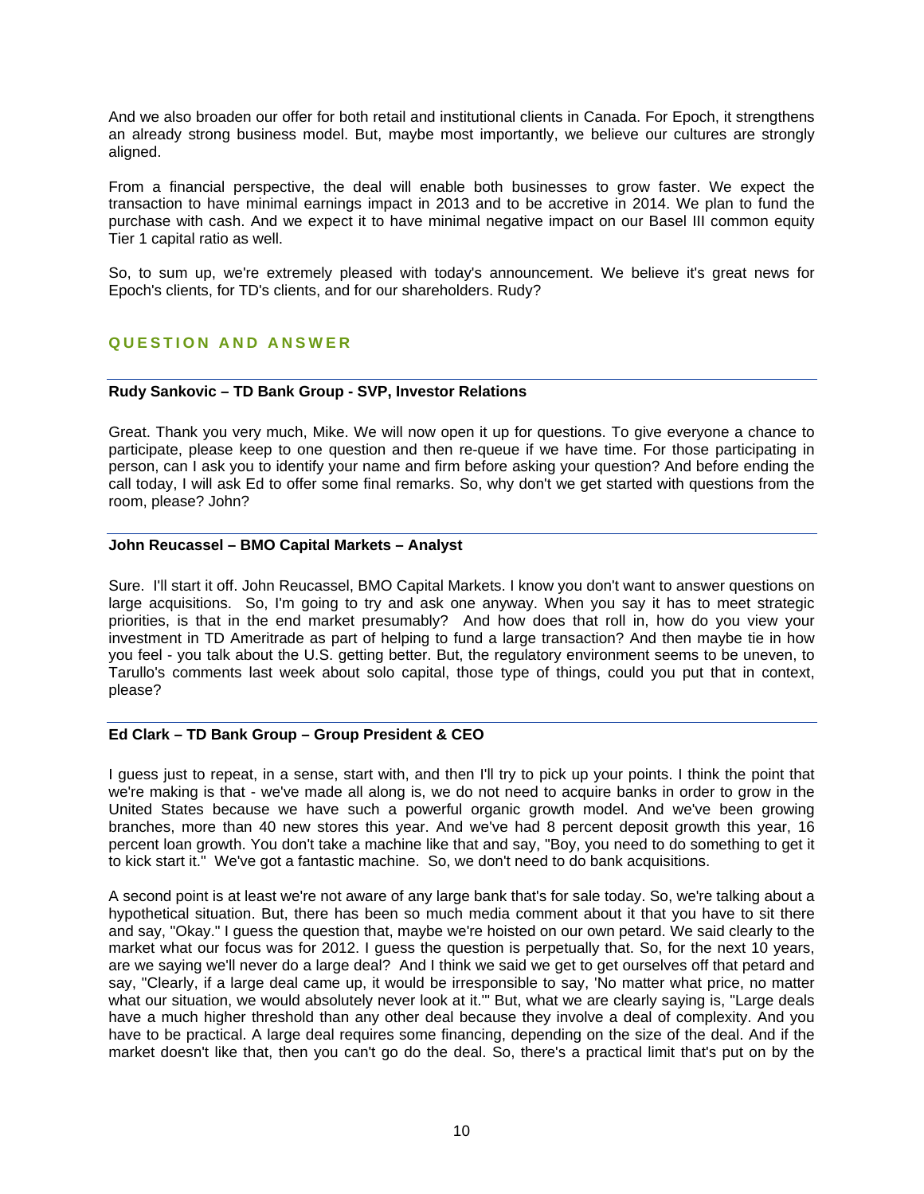And we also broaden our offer for both retail and institutional clients in Canada. For Epoch, it strengthens an already strong business model. But, maybe most importantly, we believe our cultures are strongly aligned.

From a financial perspective, the deal will enable both businesses to grow faster. We expect the transaction to have minimal earnings impact in 2013 and to be accretive in 2014. We plan to fund the purchase with cash. And we expect it to have minimal negative impact on our Basel III common equity Tier 1 capital ratio as well.

So, to sum up, we're extremely pleased with today's announcement. We believe it's great news for Epoch's clients, for TD's clients, and for our shareholders. Rudy?

## **QUESTION AND ANSWER**

### **Rudy Sankovic – TD Bank Group - SVP, Investor Relations**

Great. Thank you very much, Mike. We will now open it up for questions. To give everyone a chance to participate, please keep to one question and then re-queue if we have time. For those participating in person, can I ask you to identify your name and firm before asking your question? And before ending the call today, I will ask Ed to offer some final remarks. So, why don't we get started with questions from the room, please? John?

#### **John Reucassel – BMO Capital Markets – Analyst**

Sure. I'll start it off. John Reucassel, BMO Capital Markets. I know you don't want to answer questions on large acquisitions. So, I'm going to try and ask one anyway. When you say it has to meet strategic priorities, is that in the end market presumably? And how does that roll in, how do you view your investment in TD Ameritrade as part of helping to fund a large transaction? And then maybe tie in how you feel - you talk about the U.S. getting better. But, the regulatory environment seems to be uneven, to Tarullo's comments last week about solo capital, those type of things, could you put that in context, please?

## **Ed Clark – TD Bank Group – Group President & CEO**

I guess just to repeat, in a sense, start with, and then I'll try to pick up your points. I think the point that we're making is that - we've made all along is, we do not need to acquire banks in order to grow in the United States because we have such a powerful organic growth model. And we've been growing branches, more than 40 new stores this year. And we've had 8 percent deposit growth this year, 16 percent loan growth. You don't take a machine like that and say, "Boy, you need to do something to get it to kick start it." We've got a fantastic machine. So, we don't need to do bank acquisitions.

A second point is at least we're not aware of any large bank that's for sale today. So, we're talking about a hypothetical situation. But, there has been so much media comment about it that you have to sit there and say, "Okay." I guess the question that, maybe we're hoisted on our own petard. We said clearly to the market what our focus was for 2012. I guess the question is perpetually that. So, for the next 10 years, are we saying we'll never do a large deal? And I think we said we get to get ourselves off that petard and say, "Clearly, if a large deal came up, it would be irresponsible to say, 'No matter what price, no matter what our situation, we would absolutely never look at it.'" But, what we are clearly saying is, "Large deals have a much higher threshold than any other deal because they involve a deal of complexity. And you have to be practical. A large deal requires some financing, depending on the size of the deal. And if the market doesn't like that, then you can't go do the deal. So, there's a practical limit that's put on by the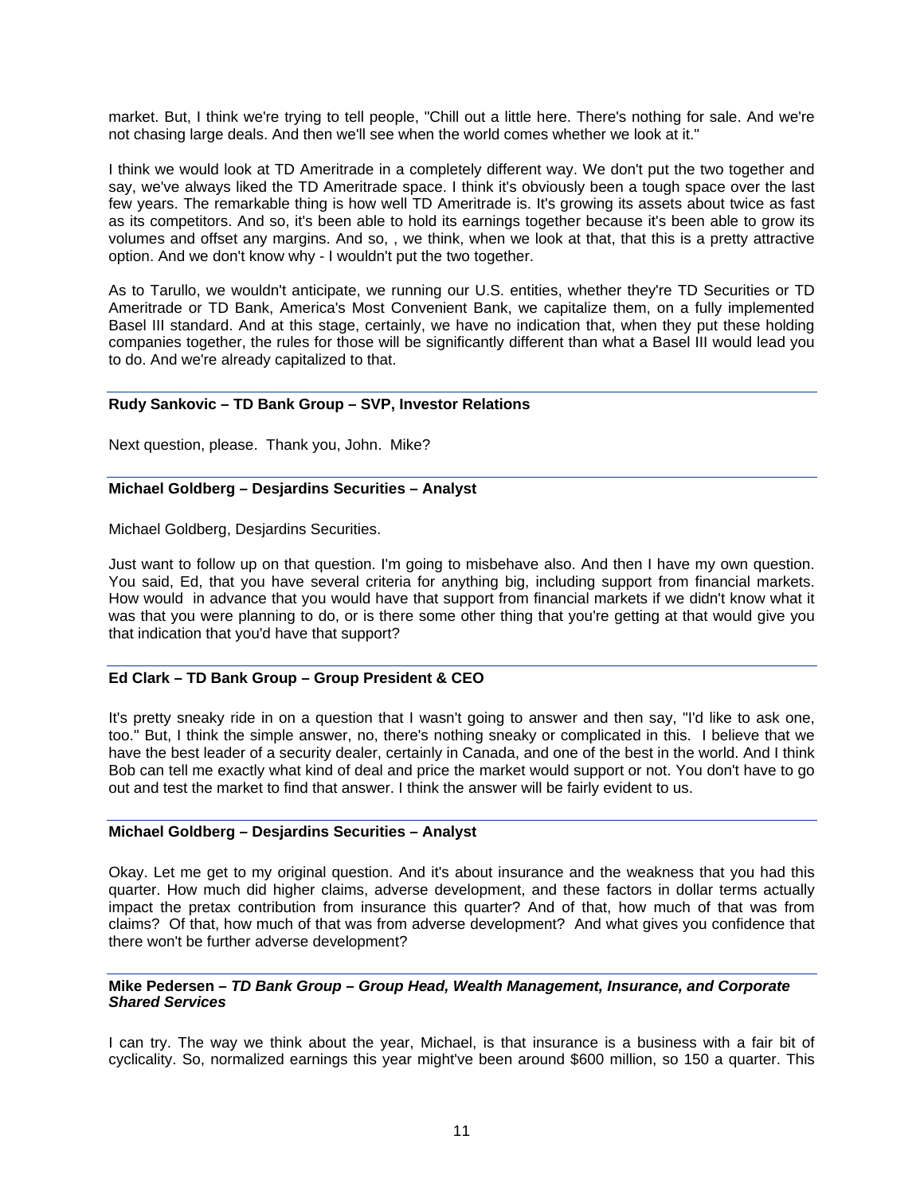market. But, I think we're trying to tell people, "Chill out a little here. There's nothing for sale. And we're not chasing large deals. And then we'll see when the world comes whether we look at it."

I think we would look at TD Ameritrade in a completely different way. We don't put the two together and say, we've always liked the TD Ameritrade space. I think it's obviously been a tough space over the last few years. The remarkable thing is how well TD Ameritrade is. It's growing its assets about twice as fast as its competitors. And so, it's been able to hold its earnings together because it's been able to grow its volumes and offset any margins. And so, , we think, when we look at that, that this is a pretty attractive option. And we don't know why - I wouldn't put the two together.

As to Tarullo, we wouldn't anticipate, we running our U.S. entities, whether they're TD Securities or TD Ameritrade or TD Bank, America's Most Convenient Bank, we capitalize them, on a fully implemented Basel III standard. And at this stage, certainly, we have no indication that, when they put these holding companies together, the rules for those will be significantly different than what a Basel III would lead you to do. And we're already capitalized to that.

### **Rudy Sankovic – TD Bank Group – SVP, Investor Relations**

Next question, please. Thank you, John. Mike?

#### **Michael Goldberg – Desjardins Securities – Analyst**

Michael Goldberg, Desjardins Securities.

Just want to follow up on that question. I'm going to misbehave also. And then I have my own question. You said, Ed, that you have several criteria for anything big, including support from financial markets. How would in advance that you would have that support from financial markets if we didn't know what it was that you were planning to do, or is there some other thing that you're getting at that would give you that indication that you'd have that support?

### **Ed Clark – TD Bank Group – Group President & CEO**

It's pretty sneaky ride in on a question that I wasn't going to answer and then say, "I'd like to ask one, too." But, I think the simple answer, no, there's nothing sneaky or complicated in this. I believe that we have the best leader of a security dealer, certainly in Canada, and one of the best in the world. And I think Bob can tell me exactly what kind of deal and price the market would support or not. You don't have to go out and test the market to find that answer. I think the answer will be fairly evident to us.

### **Michael Goldberg – Desjardins Securities – Analyst**

Okay. Let me get to my original question. And it's about insurance and the weakness that you had this quarter. How much did higher claims, adverse development, and these factors in dollar terms actually impact the pretax contribution from insurance this quarter? And of that, how much of that was from claims? Of that, how much of that was from adverse development? And what gives you confidence that there won't be further adverse development?

#### **Mike Pedersen** *– TD Bank Group – Group Head, Wealth Management, Insurance, and Corporate Shared Services*

I can try. The way we think about the year, Michael, is that insurance is a business with a fair bit of cyclicality. So, normalized earnings this year might've been around \$600 million, so 150 a quarter. This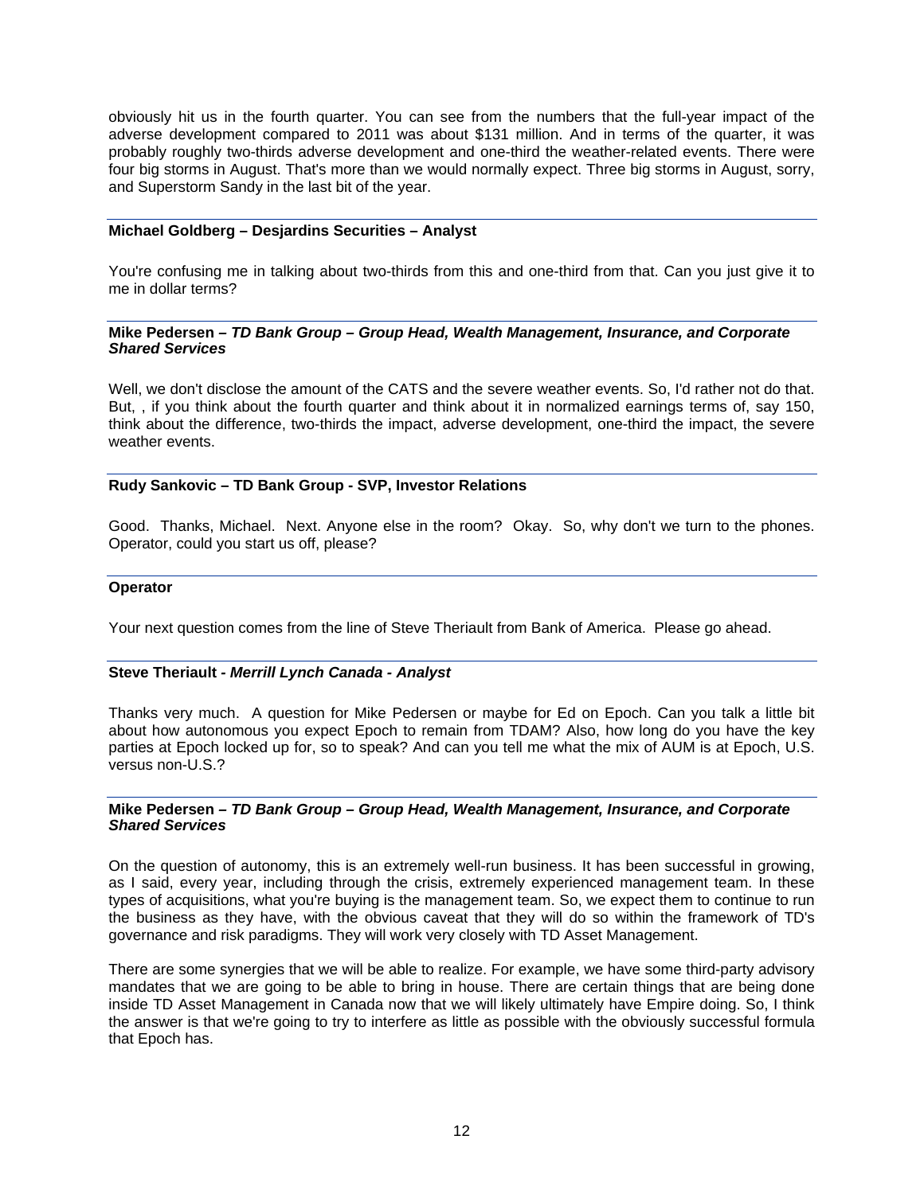obviously hit us in the fourth quarter. You can see from the numbers that the full-year impact of the adverse development compared to 2011 was about \$131 million. And in terms of the quarter, it was probably roughly two-thirds adverse development and one-third the weather-related events. There were four big storms in August. That's more than we would normally expect. Three big storms in August, sorry, and Superstorm Sandy in the last bit of the year.

## **Michael Goldberg – Desjardins Securities – Analyst**

You're confusing me in talking about two-thirds from this and one-third from that. Can you just give it to me in dollar terms?

#### **Mike Pedersen** *– TD Bank Group – Group Head, Wealth Management, Insurance, and Corporate Shared Services*

Well, we don't disclose the amount of the CATS and the severe weather events. So, I'd rather not do that. But, , if you think about the fourth quarter and think about it in normalized earnings terms of, say 150, think about the difference, two-thirds the impact, adverse development, one-third the impact, the severe weather events.

## **Rudy Sankovic – TD Bank Group - SVP, Investor Relations**

Good. Thanks, Michael. Next. Anyone else in the room? Okay. So, why don't we turn to the phones. Operator, could you start us off, please?

### **Operator**

Your next question comes from the line of Steve Theriault from Bank of America. Please go ahead.

## **Steve Theriault** *- Merrill Lynch Canada - Analyst*

Thanks very much. A question for Mike Pedersen or maybe for Ed on Epoch. Can you talk a little bit about how autonomous you expect Epoch to remain from TDAM? Also, how long do you have the key parties at Epoch locked up for, so to speak? And can you tell me what the mix of AUM is at Epoch, U.S. versus non-U.S.?

#### **Mike Pedersen** *– TD Bank Group – Group Head, Wealth Management, Insurance, and Corporate Shared Services*

On the question of autonomy, this is an extremely well-run business. It has been successful in growing, as I said, every year, including through the crisis, extremely experienced management team. In these types of acquisitions, what you're buying is the management team. So, we expect them to continue to run the business as they have, with the obvious caveat that they will do so within the framework of TD's governance and risk paradigms. They will work very closely with TD Asset Management.

There are some synergies that we will be able to realize. For example, we have some third-party advisory mandates that we are going to be able to bring in house. There are certain things that are being done inside TD Asset Management in Canada now that we will likely ultimately have Empire doing. So, I think the answer is that we're going to try to interfere as little as possible with the obviously successful formula that Epoch has.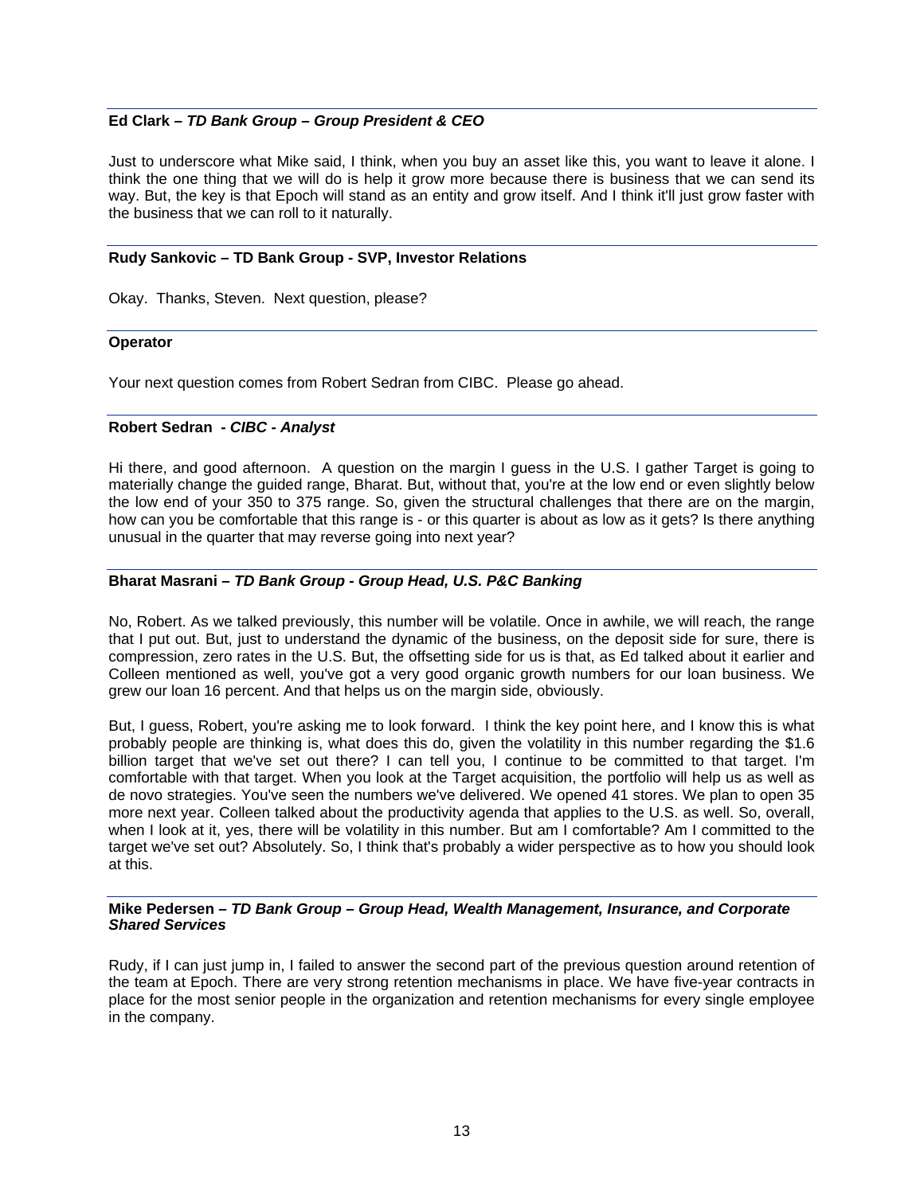## **Ed Clark** *– TD Bank Group – Group President & CEO*

Just to underscore what Mike said, I think, when you buy an asset like this, you want to leave it alone. I think the one thing that we will do is help it grow more because there is business that we can send its way. But, the key is that Epoch will stand as an entity and grow itself. And I think it'll just grow faster with the business that we can roll to it naturally.

## **Rudy Sankovic – TD Bank Group - SVP, Investor Relations**

Okay. Thanks, Steven. Next question, please?

#### **Operator**

Your next question comes from Robert Sedran from CIBC. Please go ahead.

### **Robert Sedran** *- CIBC - Analyst*

Hi there, and good afternoon. A question on the margin I guess in the U.S. I gather Target is going to materially change the guided range, Bharat. But, without that, you're at the low end or even slightly below the low end of your 350 to 375 range. So, given the structural challenges that there are on the margin, how can you be comfortable that this range is - or this quarter is about as low as it gets? Is there anything unusual in the quarter that may reverse going into next year?

## **Bharat Masrani** *– TD Bank Group - Group Head, U.S. P&C Banking*

No, Robert. As we talked previously, this number will be volatile. Once in awhile, we will reach, the range that I put out. But, just to understand the dynamic of the business, on the deposit side for sure, there is compression, zero rates in the U.S. But, the offsetting side for us is that, as Ed talked about it earlier and Colleen mentioned as well, you've got a very good organic growth numbers for our loan business. We grew our loan 16 percent. And that helps us on the margin side, obviously.

But, I guess, Robert, you're asking me to look forward. I think the key point here, and I know this is what probably people are thinking is, what does this do, given the volatility in this number regarding the \$1.6 billion target that we've set out there? I can tell you, I continue to be committed to that target. I'm comfortable with that target. When you look at the Target acquisition, the portfolio will help us as well as de novo strategies. You've seen the numbers we've delivered. We opened 41 stores. We plan to open 35 more next year. Colleen talked about the productivity agenda that applies to the U.S. as well. So, overall, when I look at it, yes, there will be volatility in this number. But am I comfortable? Am I committed to the target we've set out? Absolutely. So, I think that's probably a wider perspective as to how you should look at this.

#### **Mike Pedersen** *– TD Bank Group – Group Head, Wealth Management, Insurance, and Corporate Shared Services*

Rudy, if I can just jump in, I failed to answer the second part of the previous question around retention of the team at Epoch. There are very strong retention mechanisms in place. We have five-year contracts in place for the most senior people in the organization and retention mechanisms for every single employee in the company.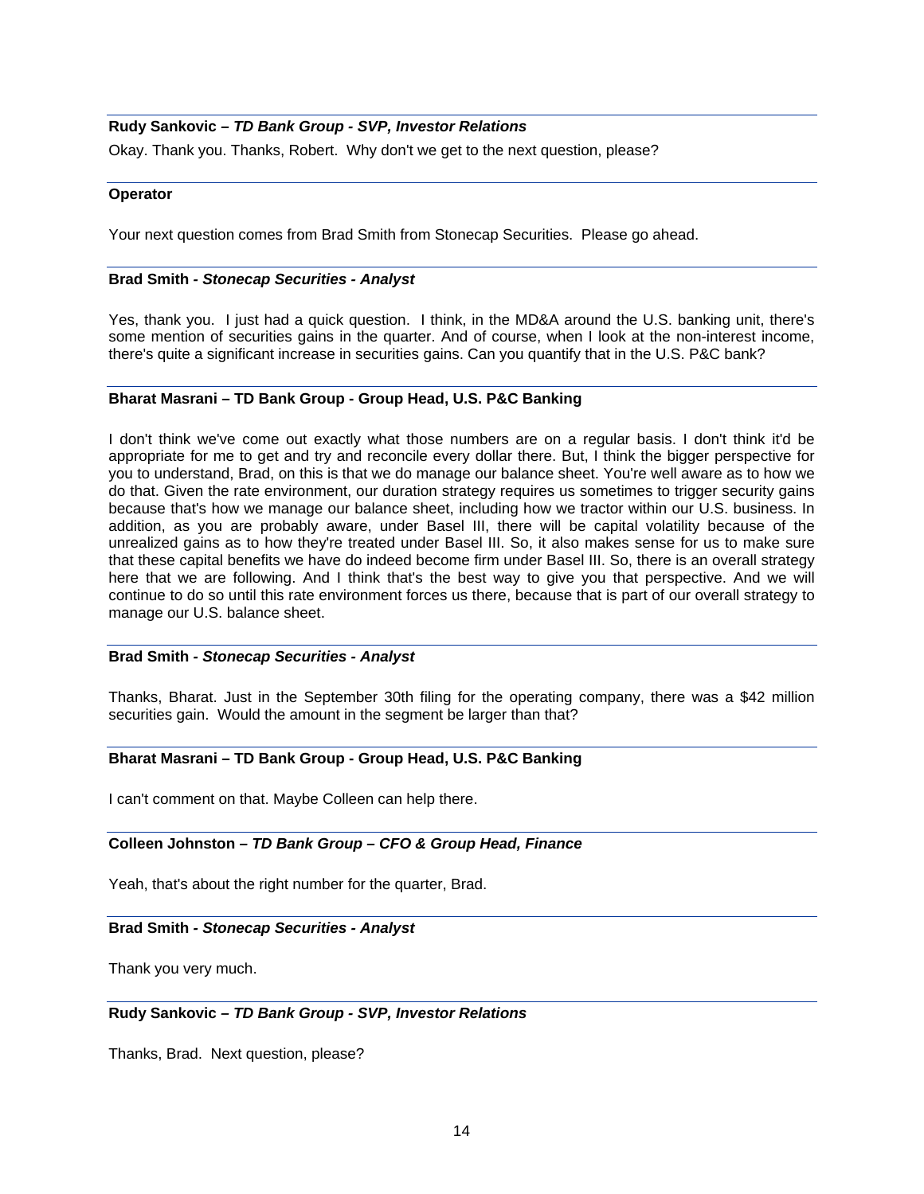### **Rudy Sankovic** *– TD Bank Group - SVP, Investor Relations*

Okay. Thank you. Thanks, Robert. Why don't we get to the next question, please?

#### **Operator**

Your next question comes from Brad Smith from Stonecap Securities. Please go ahead.

#### **Brad Smith** *- Stonecap Securities - Analyst*

Yes, thank you. I just had a quick question. I think, in the MD&A around the U.S. banking unit, there's some mention of securities gains in the quarter. And of course, when I look at the non-interest income, there's quite a significant increase in securities gains. Can you quantify that in the U.S. P&C bank?

#### **Bharat Masrani – TD Bank Group - Group Head, U.S. P&C Banking**

I don't think we've come out exactly what those numbers are on a regular basis. I don't think it'd be appropriate for me to get and try and reconcile every dollar there. But, I think the bigger perspective for you to understand, Brad, on this is that we do manage our balance sheet. You're well aware as to how we do that. Given the rate environment, our duration strategy requires us sometimes to trigger security gains because that's how we manage our balance sheet, including how we tractor within our U.S. business. In addition, as you are probably aware, under Basel III, there will be capital volatility because of the unrealized gains as to how they're treated under Basel III. So, it also makes sense for us to make sure that these capital benefits we have do indeed become firm under Basel III. So, there is an overall strategy here that we are following. And I think that's the best way to give you that perspective. And we will continue to do so until this rate environment forces us there, because that is part of our overall strategy to manage our U.S. balance sheet.

### **Brad Smith** *- Stonecap Securities - Analyst*

Thanks, Bharat. Just in the September 30th filing for the operating company, there was a \$42 million securities gain. Would the amount in the segment be larger than that?

### **Bharat Masrani – TD Bank Group - Group Head, U.S. P&C Banking**

I can't comment on that. Maybe Colleen can help there.

#### **Colleen Johnston** *– TD Bank Group – CFO & Group Head, Finance*

Yeah, that's about the right number for the quarter, Brad.

### **Brad Smith** *- Stonecap Securities - Analyst*

Thank you very much.

#### **Rudy Sankovic** *– TD Bank Group - SVP, Investor Relations*

Thanks, Brad. Next question, please?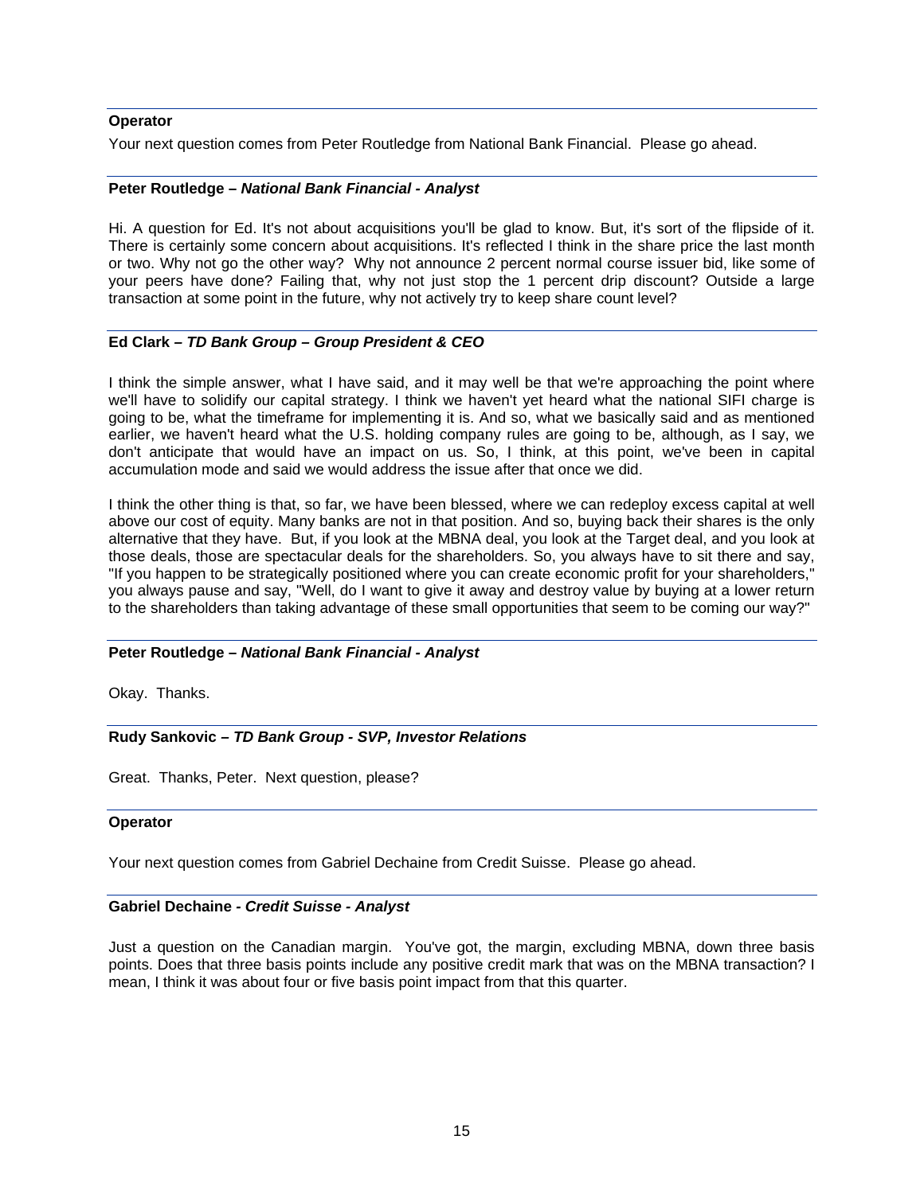### **Operator**

Your next question comes from Peter Routledge from National Bank Financial. Please go ahead.

#### **Peter Routledge –** *National Bank Financial - Analyst*

Hi. A question for Ed. It's not about acquisitions you'll be glad to know. But, it's sort of the flipside of it. There is certainly some concern about acquisitions. It's reflected I think in the share price the last month or two. Why not go the other way? Why not announce 2 percent normal course issuer bid, like some of your peers have done? Failing that, why not just stop the 1 percent drip discount? Outside a large transaction at some point in the future, why not actively try to keep share count level?

### **Ed Clark** *– TD Bank Group – Group President & CEO*

I think the simple answer, what I have said, and it may well be that we're approaching the point where we'll have to solidify our capital strategy. I think we haven't yet heard what the national SIFI charge is going to be, what the timeframe for implementing it is. And so, what we basically said and as mentioned earlier, we haven't heard what the U.S. holding company rules are going to be, although, as I say, we don't anticipate that would have an impact on us. So, I think, at this point, we've been in capital accumulation mode and said we would address the issue after that once we did.

I think the other thing is that, so far, we have been blessed, where we can redeploy excess capital at well above our cost of equity. Many banks are not in that position. And so, buying back their shares is the only alternative that they have. But, if you look at the MBNA deal, you look at the Target deal, and you look at those deals, those are spectacular deals for the shareholders. So, you always have to sit there and say, "If you happen to be strategically positioned where you can create economic profit for your shareholders," you always pause and say, "Well, do I want to give it away and destroy value by buying at a lower return to the shareholders than taking advantage of these small opportunities that seem to be coming our way?"

### **Peter Routledge –** *National Bank Financial - Analyst*

Okay. Thanks.

## **Rudy Sankovic** *– TD Bank Group - SVP, Investor Relations*

Great. Thanks, Peter. Next question, please?

#### **Operator**

Your next question comes from Gabriel Dechaine from Credit Suisse. Please go ahead.

#### **Gabriel Dechaine** *- Credit Suisse - Analyst*

Just a question on the Canadian margin. You've got, the margin, excluding MBNA, down three basis points. Does that three basis points include any positive credit mark that was on the MBNA transaction? I mean, I think it was about four or five basis point impact from that this quarter.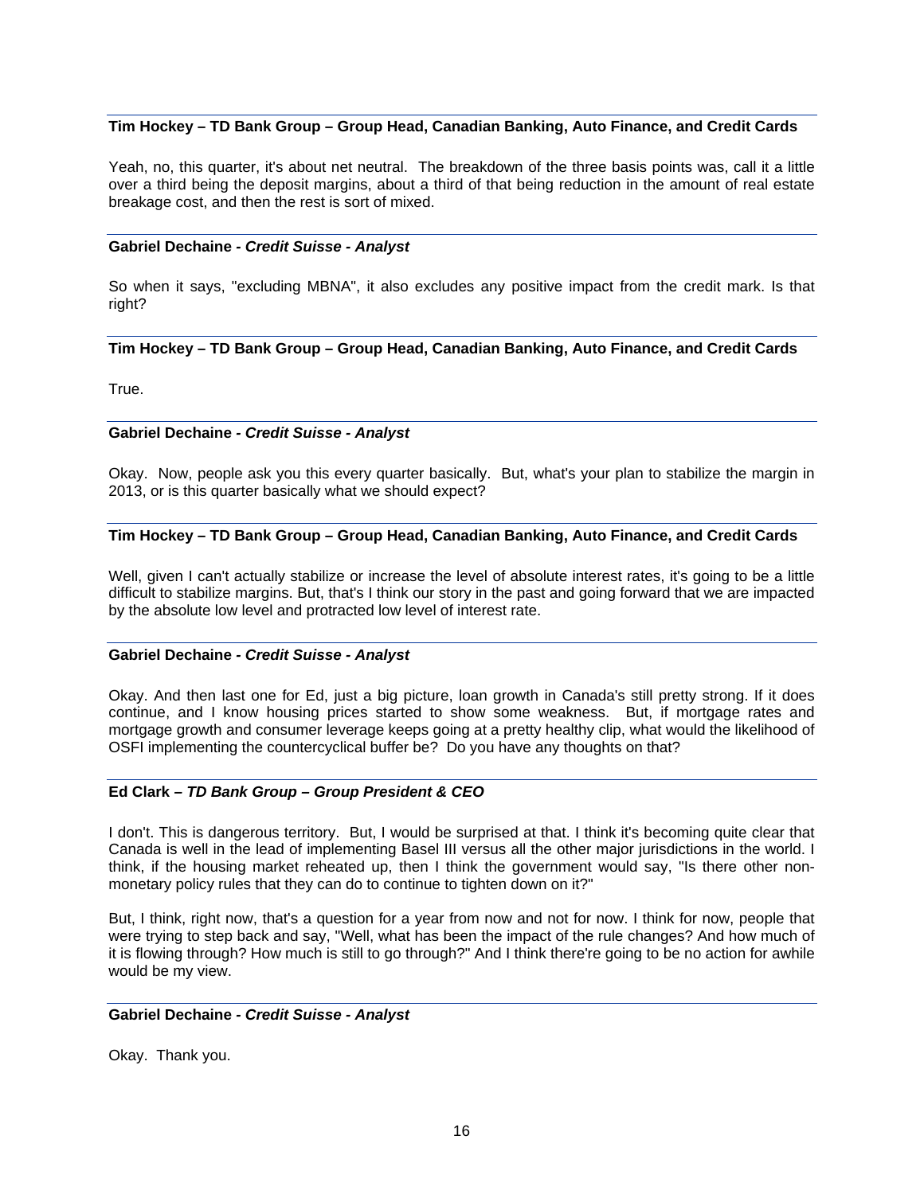#### **Tim Hockey – TD Bank Group – Group Head, Canadian Banking, Auto Finance, and Credit Cards**

Yeah, no, this quarter, it's about net neutral. The breakdown of the three basis points was, call it a little over a third being the deposit margins, about a third of that being reduction in the amount of real estate breakage cost, and then the rest is sort of mixed.

#### **Gabriel Dechaine** *- Credit Suisse - Analyst*

So when it says, "excluding MBNA", it also excludes any positive impact from the credit mark. Is that right?

## **Tim Hockey – TD Bank Group – Group Head, Canadian Banking, Auto Finance, and Credit Cards**

True.

#### **Gabriel Dechaine** *- Credit Suisse - Analyst*

Okay. Now, people ask you this every quarter basically. But, what's your plan to stabilize the margin in 2013, or is this quarter basically what we should expect?

#### **Tim Hockey – TD Bank Group – Group Head, Canadian Banking, Auto Finance, and Credit Cards**

Well, given I can't actually stabilize or increase the level of absolute interest rates, it's going to be a little difficult to stabilize margins. But, that's I think our story in the past and going forward that we are impacted by the absolute low level and protracted low level of interest rate.

### **Gabriel Dechaine** *- Credit Suisse - Analyst*

Okay. And then last one for Ed, just a big picture, loan growth in Canada's still pretty strong. If it does continue, and I know housing prices started to show some weakness. But, if mortgage rates and mortgage growth and consumer leverage keeps going at a pretty healthy clip, what would the likelihood of OSFI implementing the countercyclical buffer be? Do you have any thoughts on that?

### **Ed Clark** *– TD Bank Group – Group President & CEO*

I don't. This is dangerous territory. But, I would be surprised at that. I think it's becoming quite clear that Canada is well in the lead of implementing Basel III versus all the other major jurisdictions in the world. I think, if the housing market reheated up, then I think the government would say, "Is there other nonmonetary policy rules that they can do to continue to tighten down on it?"

But, I think, right now, that's a question for a year from now and not for now. I think for now, people that were trying to step back and say, "Well, what has been the impact of the rule changes? And how much of it is flowing through? How much is still to go through?" And I think there're going to be no action for awhile would be my view.

## **Gabriel Dechaine** *- Credit Suisse - Analyst*

Okay. Thank you.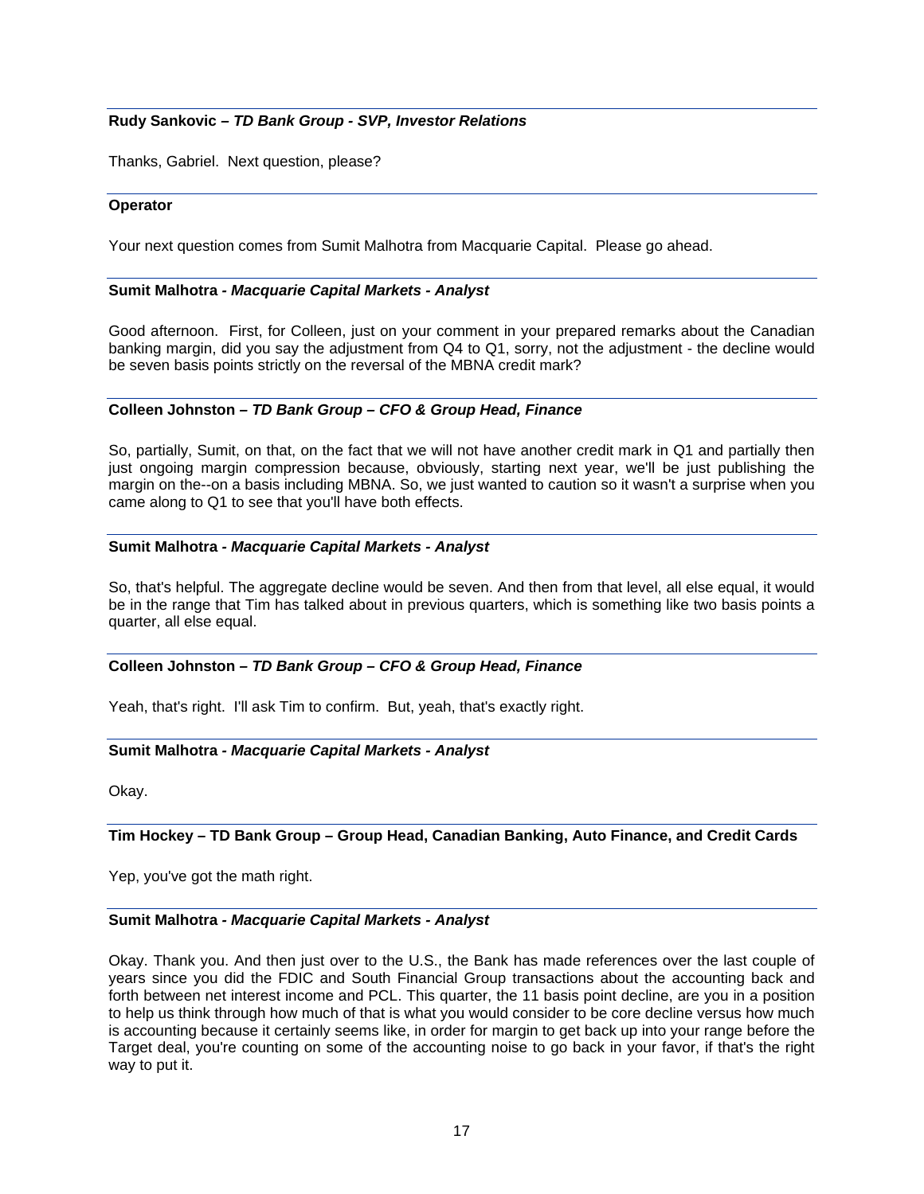## **Rudy Sankovic** *– TD Bank Group - SVP, Investor Relations*

Thanks, Gabriel. Next question, please?

### **Operator**

Your next question comes from Sumit Malhotra from Macquarie Capital. Please go ahead.

#### **Sumit Malhotra** *- Macquarie Capital Markets - Analyst*

Good afternoon. First, for Colleen, just on your comment in your prepared remarks about the Canadian banking margin, did you say the adjustment from Q4 to Q1, sorry, not the adjustment - the decline would be seven basis points strictly on the reversal of the MBNA credit mark?

### **Colleen Johnston** *– TD Bank Group – CFO & Group Head, Finance*

So, partially, Sumit, on that, on the fact that we will not have another credit mark in Q1 and partially then just ongoing margin compression because, obviously, starting next year, we'll be just publishing the margin on the--on a basis including MBNA. So, we just wanted to caution so it wasn't a surprise when you came along to Q1 to see that you'll have both effects.

#### **Sumit Malhotra** *- Macquarie Capital Markets - Analyst*

So, that's helpful. The aggregate decline would be seven. And then from that level, all else equal, it would be in the range that Tim has talked about in previous quarters, which is something like two basis points a quarter, all else equal.

### **Colleen Johnston** *– TD Bank Group – CFO & Group Head, Finance*

Yeah, that's right. I'll ask Tim to confirm. But, yeah, that's exactly right.

### **Sumit Malhotra** *- Macquarie Capital Markets - Analyst*

Okay.

### **Tim Hockey – TD Bank Group – Group Head, Canadian Banking, Auto Finance, and Credit Cards**

Yep, you've got the math right.

#### **Sumit Malhotra** *- Macquarie Capital Markets - Analyst*

Okay. Thank you. And then just over to the U.S., the Bank has made references over the last couple of years since you did the FDIC and South Financial Group transactions about the accounting back and forth between net interest income and PCL. This quarter, the 11 basis point decline, are you in a position to help us think through how much of that is what you would consider to be core decline versus how much is accounting because it certainly seems like, in order for margin to get back up into your range before the Target deal, you're counting on some of the accounting noise to go back in your favor, if that's the right way to put it.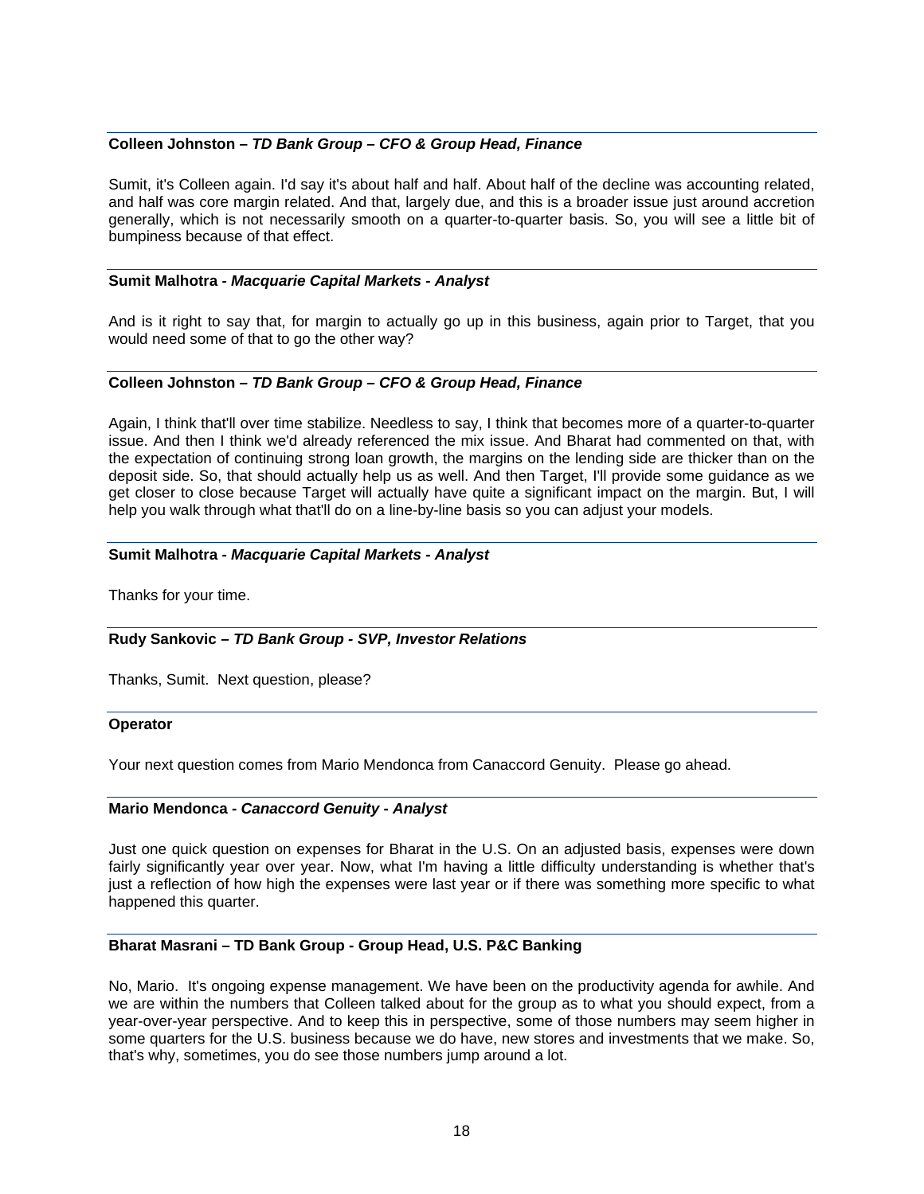## **Colleen Johnston** *– TD Bank Group – CFO & Group Head, Finance*

Sumit, it's Colleen again. I'd say it's about half and half. About half of the decline was accounting related, and half was core margin related. And that, largely due, and this is a broader issue just around accretion generally, which is not necessarily smooth on a quarter-to-quarter basis. So, you will see a little bit of bumpiness because of that effect.

### **Sumit Malhotra** *- Macquarie Capital Markets - Analyst*

And is it right to say that, for margin to actually go up in this business, again prior to Target, that you would need some of that to go the other way?

### **Colleen Johnston** *– TD Bank Group – CFO & Group Head, Finance*

Again, I think that'll over time stabilize. Needless to say, I think that becomes more of a quarter-to-quarter issue. And then I think we'd already referenced the mix issue. And Bharat had commented on that, with the expectation of continuing strong loan growth, the margins on the lending side are thicker than on the deposit side. So, that should actually help us as well. And then Target, I'll provide some guidance as we get closer to close because Target will actually have quite a significant impact on the margin. But, I will help you walk through what that'll do on a line-by-line basis so you can adjust your models.

#### **Sumit Malhotra** *- Macquarie Capital Markets - Analyst*

Thanks for your time.

### **Rudy Sankovic** *– TD Bank Group - SVP, Investor Relations*

Thanks, Sumit. Next question, please?

#### **Operator**

Your next question comes from Mario Mendonca from Canaccord Genuity. Please go ahead.

#### **Mario Mendonca** *- Canaccord Genuity - Analyst*

Just one quick question on expenses for Bharat in the U.S. On an adjusted basis, expenses were down fairly significantly year over year. Now, what I'm having a little difficulty understanding is whether that's just a reflection of how high the expenses were last year or if there was something more specific to what happened this quarter.

## **Bharat Masrani – TD Bank Group - Group Head, U.S. P&C Banking**

No, Mario. It's ongoing expense management. We have been on the productivity agenda for awhile. And we are within the numbers that Colleen talked about for the group as to what you should expect, from a year-over-year perspective. And to keep this in perspective, some of those numbers may seem higher in some quarters for the U.S. business because we do have, new stores and investments that we make. So, that's why, sometimes, you do see those numbers jump around a lot.